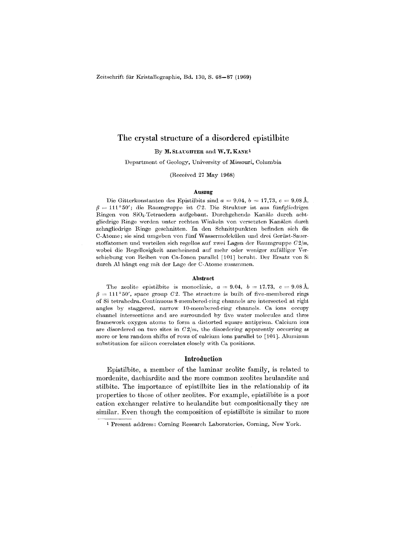Zeitschrift für Kristallographie, Bd. 130, S. 68-87 (1969)

# The crystal structure of a disordered epistilbite

By M. SLAUGHTER and W.T. KANE<sup>1</sup>

Department of Geology, University of Missouri, Columbia

(Received 27 May 1968)

#### Auszug

Die Gitterkonstanten des Epistilbits sind  $a = 9.04$ ,  $b = 17.73$ ,  $c = 9.08$  Å,  $\beta = 111^{\circ}50'$ ; die Raumgruppe ist *C2*. Die Struktur ist aus fünfgliedrigen Ringen von Si04-Tetraedern aufgebaut. Durchgehende Kaniile durch acht. gliedrige Ringe werden unter rechten Winkeln von versetzten Kanälen durch zehngliedrige Ringe geschnitten. In den Schnittpunkten befinden sich die C-Atome; sie sind umgeben von fünf Wassermolekülen und drei Gerüst-Sauerstoffatomen und verteilen sich regellos auf zwei Lagen der Raumgruppe  $C2/m$ , wobei die Regellosigkeit anscheinend auf mehr oder weniger zufälliger Verschiebung von Reihen von Ca-Ionon parallel [101] beruht. Der Ersatz von Si durch Al hangt eng mit der Lage der C.Atome zusammen.

#### Abstract

The zeolite epistilbite is monoclinic,  $a = 9.04$ ,  $b = 17.73$ ,  $c = 9.08$  A,  $\beta = 111^{\circ}50'$ , space group *02*. The structure is built of five-membered rings of Si tetrahedra. Continuous 8-membered-ring channels are intersected at right angles by staggered, narrow 10-membered-ring channels. Ca ions occupy channel intersections and are surrounded by five water molecules and three framework oxygen atoms to form a distorted square antiprism. Calcium ions are disordered on two sites in  $C2/m$ , the disordering apparently occurring as more or less random shifts of rows of calcium ions parallel to [101]. Aluminum substitution for silicon correlates closely with Ca positions.

### Introduction

Epistilbite, a member of the laminar zeolite family, is related to mordenite, dachiardite and the more common zeolites heulandite and stilbite. The importance of epistilbite lies in the relationship of its properties to those of other zeolites. For example, epistilbite is a poor cation exchanger relative to heulandite but compositionally they are similar. Even though the composition of epistilbite is similar to more

<sup>1</sup> Present address: Corning Research Laboratories, Corning, New York.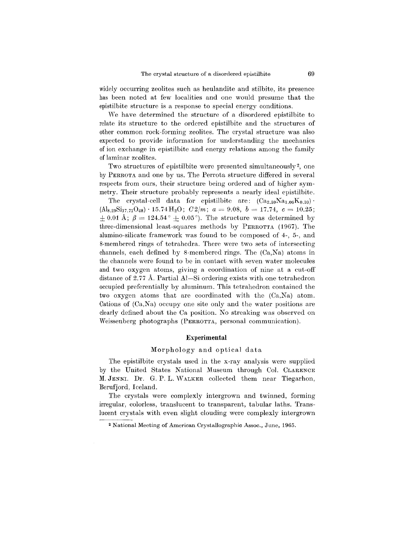widely occurring zeolites such as heulandite and stilbite, its presence has been noted at few localities and one would presume that the epistilbite structure is a response to special energy conditions.

We have determined the structure of a disordered epistilbite to relate its structure to the ordered epistilbite and the structures of other common rock-forming zeolites. The crystal structure was also expected to provide information for understanding the mechanics of ion exchange in epistilbitc and energy relations among the family of laminar zeolites.

Two structures of epistilbite were presented simultaneously2, one by PERROTA and one by us. The Perrota structure differed in several respects from ours, their structure being ordered and of higher symmetry. Their structure probably represents a nearly ideal epistilbite.

The crystal-cell data for epistilbite are:  $(Ca_{2.59}Na_{1.06}K_{0.10})$ .  $(A]_{8.29}Si_{17.71}O_{48}) \cdot 15.74\,\mathrm{H}_2\mathrm{O};$   $C2/m;$   $a = 9.08, b = 17.74, c = 10.25$  $\pm$  0.01 Å;  $\beta = 124.54^{\circ} \pm$  0.05°). The structure was determined by three-dimensional least-squares methods by PERROTTA (1967). The alumino-silicate framework was found to be composed of 4-, 5-, and 8-membered rings of tetrahedra. There were two sets of intersecting channels, each defined by 8-membered rings. The (Ca,Na) atoms in the channels were found to be in contact with seven water molecules and two oxygen atoms, giving a coordination of nine at a cut-off distance of 2.77 A. Partial AI-Si ordering exists with one tetrahedron occupied preferentially by aluminum. This tetrahedron contained the two oxygen atoms that are coordinated with the (Ca,Na) atom. Cations of  $(Ca,Na)$  occupy one site only and the water positions are clearly defined about the Ca position. No streaking was observed on Weissenberg photographs (PERROTTA, personal communication).

## **Experimental**

# Morphology and optical data

The epistilbite crystals used in the x-ray analysis were supplied by the United States National Museum through Col. CLARENCE M. JENNI. Dr. G. P. L. \VALKER collected them near Tiegarhon, Berufjord, Iceland.

The crystals were complexly intergrown and twinned, forming irregular, colorless, translucent to transparent, tabular laths. Translucent crystals with even slight clouding were complexly intergrown

<sup>2</sup> National Meeting of American Crystallographic Assoc., June, 1965.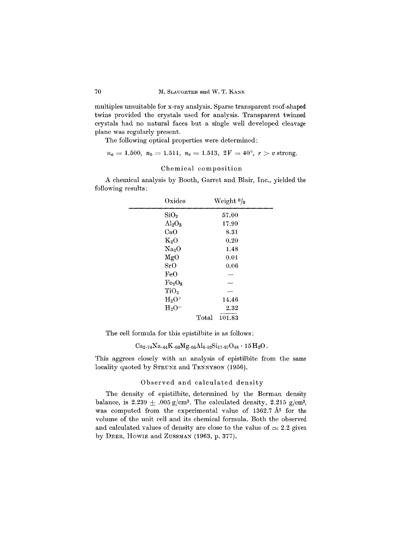multiples unsuitable for x-ray analysis. Sparse transparent roof-shaped twins provided the crystals used for analysis. Transparent twinned crystals had no natural faces but a single well developed cleavage plane was regularly present.

The following optical properties were determined:

$$
n_a = 1.500, n_b = 1.511, n_c = 1.513, 2V = 40^{\circ}, r > v \text{ strong}.
$$

## Chemical composition

A chemical analysis by Booth, Garret and Blair, Inc., yielded the following results:

| Oxides                         | Weight $0/0$    |  |
|--------------------------------|-----------------|--|
| SiO <sub>2</sub>               | 57.00           |  |
| $\rm Al_2O_3$                  | 17.99           |  |
| CaO                            | 8.31            |  |
| $K_2O$                         | 0.20            |  |
| Na <sub>2</sub> O              | 1.48            |  |
| MgO                            | 0.01            |  |
| SrO                            | 0.06            |  |
| FeO                            |                 |  |
| Fe <sub>2</sub> O <sub>3</sub> |                 |  |
| TiO <sub>2</sub>               |                 |  |
| $\rm H_2O^+$                   | 14.46           |  |
| $H_2O^-$                       | 2.32            |  |
|                                | Total<br>101.83 |  |

The cell formula for this epistilbite is as follows:

$$
\mathrm{Ca}_{2}.74\mathrm{Na}.44\mathrm{K}.03\mathrm{Mg}.05\mathrm{Al}_{6}.52\mathrm{Si}_{17}.57\mathrm{O}_{48}\cdot15\,\mathrm{H}_{2}\mathrm{O}.
$$

This aggrees closely with an analysis of epistilbite from the same locality quoted by STRUNZ and TENNYSON (1956).

### Observed and calculated density

The density of epistilbite, determined by the Berman density balance, is  $2.239 \pm .005$  g/cm<sup>3</sup>. The calculated density, 2.215 g/cm<sup>3</sup>, was computed from the experimental value of 1362.7 A3 for the volume of the unit cell and its chemical formula. Both the observed and calculated values of density are close to the value of  $\simeq 2.2$  given by DEER, HOWIE and ZUSSMAN (1963, p. 377).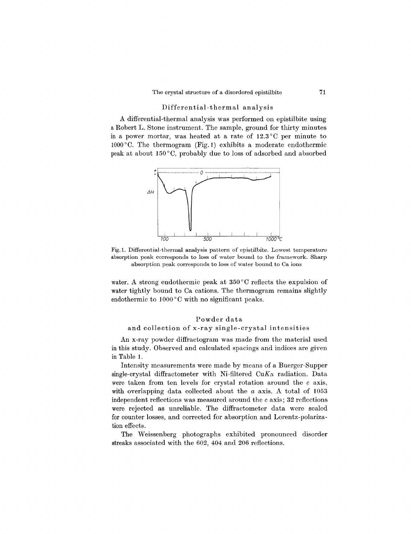# Differential-thermal analysis

A differential-thermal analysis was performed on epistilbite using a Robert L. Stone instrument. The sample, ground for thirty minutes in a power mortar, was heated at a rate of  $12.3^{\circ}$ C per minute to  $1000\,^{\circ}\text{C}$ . The thermogram (Fig. 1) exhibits a moderate endothermic peak at about 150 ° 0, probably due to loss of adsorbed and absorbed



Fig. I. Differential-thermal analysis pattern of epistilbite. Lowest temperature absorption peak corresponds to loss of water bound to the framework. Sharp absorption peak corresponds to loss of water bound to Ca ions

water. A strong endothermic peak at 350°C reflects the expulsion of water tightly bound to Ca cations. The thermogram remains slightly endothermic to  $1000\degree C$  with no significant peaks.

# Powder data

### and collection of x-ray single-crystal intensities

An x-ray powder diffractogram was made from the material used in this study. Observed and calculated spacings and indices are given in Table 1.

Intensity measurements were made by means of a Buerger-Supper single-crystal diffractometer with Ni-filtered  $CuK\alpha$  radiation. Data were taken from ten levels for crystal rotation around the c axis, with overlapping data collected about the *a* axis. A total of 1053 independent reflections was measured around the  $c$  axis; 32 reflections were rejected as unreliable. The diffractometer data were scaled for counter losses, and corrected for absorption and Lorentz-polarization effects.

The Weissenberg photographs exhibited pronounced disorder streaks associated with the 602, 404 and 206 reflections.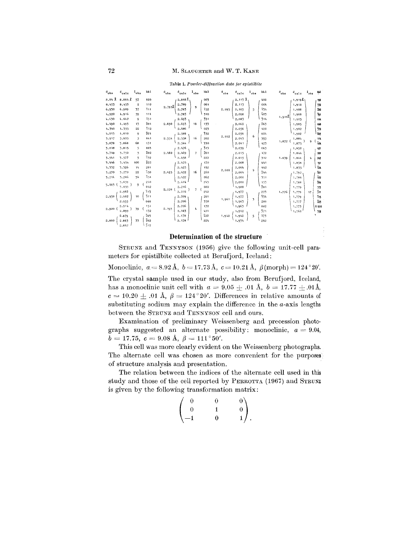| $d_{obs}$ | $^{d}$ calc | $I_{obs}$               | hk1              | $d_{obs}$ | $^{\rm d}$ calc | $I_{obs}$                | hk1 | $d_{obs}$ | $^{\rm d}$ calc     | $I_{obs}$ | hk 1             | $\mathfrak{a}_{\mathfrak{obs}}$ | $^{d}$ calc       | $I_{obs}$ | щu              |
|-----------|-------------|-------------------------|------------------|-----------|-----------------|--------------------------|-----|-----------|---------------------|-----------|------------------|---------------------------------|-------------------|-----------|-----------------|
| 8.84 Å    | 8,864 R     | 57                      | 020              |           | $2,818$ $\chi$  |                          | 003 |           | $2,113$ $\lambda$ , |           | 400              |                                 | $1.919$ $\lambda$ |           | 190             |
| 8.453     | 8.453       | $\overline{\mathbf{2}}$ | 110              |           | 2.789           |                          | 061 |           | 2.113               |           | 004              |                                 | 1,918             |           | 332             |
| 6.930     | 6.909       | 37                      | 711              | 2.7938    | 2,783           | 9                        | 152 | 2.095     | 2,105               | 5         | <b>134</b>       |                                 | 1,908             |           | 282             |
| 4,920     | 4.916       | 59                      | 111              |           | 2,783           |                          | 310 |           | 2,098               |           | 403              |                                 | 1,908             |           | Tg1             |
| 4.630     | 4,642       | 9                       | ī31              |           | 2.693           |                          | 331 |           | 2,083               |           | 314              | 1.910                           | 1,905             |           | 044             |
| 4.490     | 4,493       | 13                      | 201              | 2.690     | 2.693           | 18                       | 133 |           | 2,062               |           | $\bar{2}63$      |                                 | 1,905             |           | 440             |
| 4.340     | 4.355       | 22                      | 112              |           | 2,686           |                          | 023 |           | 2,056               |           | 420              |                                 | 1,902             |           | 572             |
| 4,013     | 4,010       | 9                       | 221              |           | 2,588           |                          | 332 |           | 2,056               |           | 024              |                                 | 1,902             |           | T.,             |
| 3.917     | 3.925       | 5                       | 041              | 2.554     | 2,558           | 16                       | 202 | 2.052     | 2.043               | 6         | 353              |                                 | 1,884             |           | 114             |
| 3,878     | 3.868       | 68                      | 131              |           | 2.544           |                          | 330 |           | 2.041               |           | 423              | 1.872 (                         | 1.875             | 9         | $^{7}_{404}$    |
| 3,818     | 3.815       | 5                       | 003              |           | 2.476           |                          | 313 |           | 2.039               |           | 063              |                                 | 1,852             |           | 421             |
| 3.749     | 3.750       | 5                       | $\overline{2}02$ | 2.460     | 2,469           | $\overline{\phantom{a}}$ | 261 |           | 2.015               |           | 172              |                                 | 1,844             |           | 281             |
| 3.541     | 3.577       | 5                       | 132              |           | 2.458           |                          | 222 |           | 2.015               |           | 312              | 1.839                           | 1.844             | 4         | 243             |
| 3.446     | 3.454       | 100                     | 222              |           | 2.425           |                          | 170 |           | 2.008               |           | 441              |                                 | 1,838             |           | 191             |
| 3.332     | 3,326       | 1 <sub>h</sub>          | 201              |           | 2.425           |                          | 152 |           | 2.004               |           | 442              |                                 | 1.835             |           | 424             |
| 3.270     | 3.270       | 22                      | 150              | 2.425     | 2,422           | 16                       | 260 | 2,000     | 2,004               | 9         | 244              |                                 | 1.792             |           | 461             |
| 5.214     | 3.206       | 54                      | 751              |           | 2.422           |                          | 062 |           | 2,000               |           | 351              |                                 | 1,788             |           | 462             |
|           | 3,059       |                         | 240              |           | 2.414           |                          | 243 |           | 2,000               |           | 155              |                                 | 1,788             |           | 264             |
| $5.065$ ( | 3,059       | 9                       | 042              |           | 2,216           |                          | 080 |           | 1.988               |           | 281              |                                 | 1.779             |           | 373             |
|           | 2,982       |                         | 113              | 2.220 (   | 2,216           | 7                        | 242 |           | 1.977               |           | 223              | 1.776                           | 1.779             | 17        | $\frac{1}{2}11$ |
| 2.958     | 2.982       | 10                      | $\frac{1}{3}11$  |           | 2,209           |                          | 261 |           | 1,977               |           | 334              |                                 | 1.779             |           | ī <sub>15</sub> |
|           | 2.955       |                         | 060              |           | 2,206           |                          | 350 | 1,961     | 1,963               | 3         | 280              |                                 | 1,777             |           | $\bar{2}25$     |
|           | 2.914       |                         | 151              |           | 2.206           |                          | 172 |           | 1,963               |           | 082              |                                 | 1,773             |           | 0100            |
| $2,920$ ( | 2,899       | 39                      | 132              | 2,193     | 2,183           | 4                        | 421 |           | 1.942               |           | $\frac{1}{3}$ 71 |                                 | 1,760             |           | 352             |
|           | 2.879       |                         | 203              |           | 2,178           |                          | 422 | 1.942     | 1.942               | 5         | ī73              |                                 |                   |           |                 |
| 2,860     | 2.863       | 33                      | 242              |           | 2.178           |                          | 224 |           | 1.934               |           | 262              |                                 |                   |           |                 |
|           | 2.842       |                         | $\bar{5}12$      |           |                 |                          |     |           |                     |           |                  |                                 |                   |           |                 |

Table 1. Powder-diffraction data for epistilbite

#### Determination of the structure

STRUNZ and TENNYSON (1956) give the following unit-cell parameters for epistilbite collected at Berufjord, Iceland:

Monoclinic,  $a = 8.92 \text{ Å}, b = 17.73 \text{ Å}, c = 10.21 \text{ Å}, \beta \text{(morph)} = 124^{\circ}20'.$ The crystal sample used in our study, also from Berufjord, Iceland, has a monoclinic unit cell with  $a = 9.05 \pm .01$  Å,  $b = 17.77 \pm .01$ Å,  $c = 10.20 \pm .01$  Å,  $\beta = 124^{\circ}20'$ . Differences in relative amounts of substituting sodium may explain the difference in the  $a$ -axis lengths between the STRUNZ and TENNYSON cell and ours.

Examination of preliminary Weissenberg and precession photographs suggested an alternate possibility: monoclinic,  $a = 9.04$ ,  $b = 17.75, c = 9.08$  Å,  $\beta = 111^{\circ}50'$ .

This cell was more clearly evident on the Weissenberg photographs. The alternate cell was chosen as more convenient for the purposes of structure analysis and presentation.

The relation between the indices of the alternate cell used in this study and those of the cell reported by PERROTTA (1967) and STRUNZ is given by the following transformation matrix:

$$
\begin{pmatrix} 0 & 0 & 0 \\ 0 & 1 & 0 \\ -1 & 0 & 1 \end{pmatrix}
$$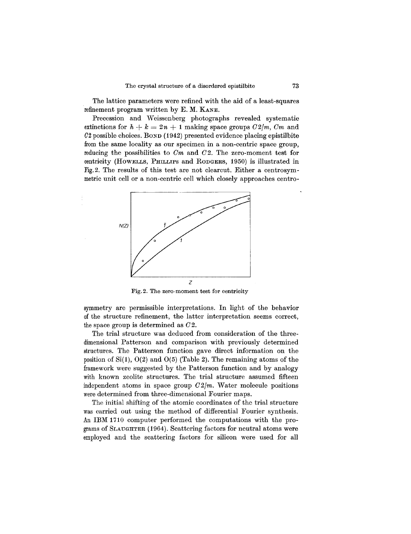The lattice parameters were refined with the aid of a least-squares refinement program written by E. M. KANE.

Precession and Weissenberg photographs revealed systematic extinctions for  $h + k = 2n + 1$  making space groups  $C2/m$ ,  $Cm$  and 02 possible choices. BOND (1942) presented evidence placing epistilbite from the same locality as our specimen in a non-centric space group, reducing the possibilities to *Om* and *02.* The zero-moment test for centricity (HOWELLS, PHILLIPS and RODGERS, 1950) is illustrated in Fig.2. The results of this test are not clearcut. Either a centrosymmetric unit cell or a non-centric cell which closely approaches centro-



Fig.2. The zero-moment test for centricity

symmetry are permissible interpretations. In light of the behavior of the structure refinement, the latter interpretation seems correct, the space group is determined as *02.*

The trial structure was deduced from consideration of the threedimensional Patterson and comparison with previously determined structures. The Patterson function gave direct information on the position of  $Si(1)$ ,  $O(2)$  and  $O(5)$  (Table 2). The remaining atoms of the framework were suggested by the Patterson function and by analogy with known zeolite structures. The trial structure assumed fifteen independent atoms in space group  $C2/m$ . Water molecule positions were determined from three-dimensional Fourier maps.

The initial shifting of the atomic coordinates of the trial structure was carried out using the method of differential Fourier synthesis. An IBM 1710 computer performed the computations with the programs of SLAUGHTER(1964). Scattering factors for neutral atoms were employed and the scattering factors for silicon were used for all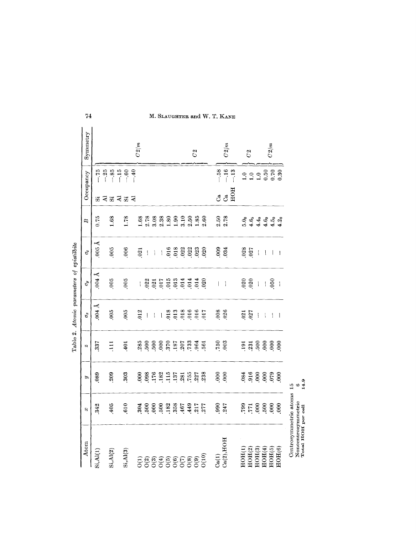|                           |      |                  |                                   | Table 2. Atomic parameters of epistilbite                                                                                                                                                                                                                                                                                                                                                                      |                                                                                          |                                |                            |                                             |                |
|---------------------------|------|------------------|-----------------------------------|----------------------------------------------------------------------------------------------------------------------------------------------------------------------------------------------------------------------------------------------------------------------------------------------------------------------------------------------------------------------------------------------------------------|------------------------------------------------------------------------------------------|--------------------------------|----------------------------|---------------------------------------------|----------------|
| Atom                      | 83   | É                | $\omega$                          | $\sigma_x$                                                                                                                                                                                                                                                                                                                                                                                                     | $\vec{\sigma}$                                                                           | $\sigma_z$                     | $\mathbf{z}$               | Occupancy                                   | Symmetry       |
| Si, Al(1)                 | 342  | 089              | 337                               | $0.04$ Å                                                                                                                                                                                                                                                                                                                                                                                                       | $0.04$ Å                                                                                 | ∢<br>005                       | 0.75                       | $-75$<br>$-25$<br>$\vec{\omega}$            |                |
| Si, Al(2)                 | 405  | 209              | $\frac{111}{11}$                  | 005                                                                                                                                                                                                                                                                                                                                                                                                            | 005                                                                                      | .005                           | 1.68                       | $-85$<br>いえる                                |                |
| Si. Al(3)                 | 610  | 303              | 401                               | 005                                                                                                                                                                                                                                                                                                                                                                                                            | .005                                                                                     | .006                           | 1.78                       | $-15$<br>$-0.60$<br>$-40$<br>$\overline{A}$ |                |
| $\tilde{c}$               | 304  | $\frac{6}{10}$   | 285                               | .012                                                                                                                                                                                                                                                                                                                                                                                                           | $\begin{array}{c} \begin{array}{c} \begin{array}{c} \end{array} \end{array} \end{array}$ | .021                           | 1.68                       |                                             | C2/m           |
| O(2)                      | 500  | .098             |                                   | $\begin{array}{c} \rule{0pt}{2ex} \rule{0pt}{2ex} \rule{0pt}{2ex} \rule{0pt}{2ex} \rule{0pt}{2ex} \rule{0pt}{2ex} \rule{0pt}{2ex} \rule{0pt}{2ex} \rule{0pt}{2ex} \rule{0pt}{2ex} \rule{0pt}{2ex} \rule{0pt}{2ex} \rule{0pt}{2ex} \rule{0pt}{2ex} \rule{0pt}{2ex} \rule{0pt}{2ex} \rule{0pt}{2ex} \rule{0pt}{2ex} \rule{0pt}{2ex} \rule{0pt}{2ex} \rule{0pt}{2ex} \rule{0pt}{2ex} \rule{0pt}{2ex} \rule{0pt}{$ | 022                                                                                      | $\bar{\rm I}$                  | 2.78                       |                                             |                |
|                           | 600  | 176              |                                   | $\begin{array}{c} \rule{0pt}{2.5ex} \rule{0pt}{2.5ex} \rule{0pt}{2.5ex} \rule{0pt}{2.5ex} \rule{0pt}{2.5ex} \rule{0pt}{2.5ex} \rule{0pt}{2.5ex} \rule{0pt}{2.5ex} \rule{0pt}{2.5ex} \rule{0pt}{2.5ex} \rule{0pt}{2.5ex} \rule{0pt}{2.5ex} \rule{0pt}{2.5ex} \rule{0pt}{2.5ex} \rule{0pt}{2.5ex} \rule{0pt}{2.5ex} \rule{0pt}{2.5ex} \rule{0pt}{2.5ex} \rule{0pt}{2.5ex} \rule{0$                               | 021                                                                                      | $\mid$                         | 3.08                       |                                             |                |
| O(3)                      | 500  | <b>182</b>       | $3000$<br>$370$<br>$370$<br>$371$ | l                                                                                                                                                                                                                                                                                                                                                                                                              | 017                                                                                      |                                | 2.38                       |                                             |                |
| O(5)                      | .182 | 115              |                                   | 018                                                                                                                                                                                                                                                                                                                                                                                                            | $\frac{015}{013}$                                                                        | .016                           | 1.80                       |                                             |                |
| ${\rm O(6)}$              | 358  | 137              |                                   | 013                                                                                                                                                                                                                                                                                                                                                                                                            |                                                                                          | .018                           | 1.90                       |                                             |                |
| $\mathcal{O}(7)$          | 467  | .281             | .207                              | 018                                                                                                                                                                                                                                                                                                                                                                                                            |                                                                                          | 022                            | 3.10                       |                                             |                |
| $\frac{0(8)}{0(9)}$       | 449  | .755             | 733                               | .016                                                                                                                                                                                                                                                                                                                                                                                                           | 555                                                                                      |                                | 2.50                       |                                             |                |
|                           | .217 | 227              | .964                              | 016                                                                                                                                                                                                                                                                                                                                                                                                            |                                                                                          | $\frac{022}{023}$              | 1.85                       |                                             | C <sub>2</sub> |
| O(10)                     | 277  | 238              | 561                               | 017                                                                                                                                                                                                                                                                                                                                                                                                            | 020                                                                                      | .020                           | 2.60                       |                                             |                |
| Ca(1)                     | 000  | $\overline{000}$ | <b>750</b>                        | 008                                                                                                                                                                                                                                                                                                                                                                                                            | I                                                                                        | 009                            | 2.50                       | $-0.58$<br>ජී                               |                |
| Ca(2), HOH                | 247  | 000              | 603                               | 026                                                                                                                                                                                                                                                                                                                                                                                                            | I                                                                                        | 034                            | 2.78                       | $-16$<br>යී                                 | C2/m           |
|                           |      |                  |                                   |                                                                                                                                                                                                                                                                                                                                                                                                                |                                                                                          |                                |                            | $-.13$<br>HOH                               |                |
| HOH(1)                    | 799  | $^{084}$         |                                   | .021                                                                                                                                                                                                                                                                                                                                                                                                           |                                                                                          |                                | 5.0 <sub>0</sub>           | $\ddot{=}$                                  |                |
| HOH(2)                    | 771  | .916             | $\frac{191}{231}$                 | .027                                                                                                                                                                                                                                                                                                                                                                                                           | $\frac{020}{020}$                                                                        | 028<br>027                     |                            |                                             | C <sub>2</sub> |
| $\rm{HOH}(3)$             | 000  | 600              |                                   | $\begin{array}{c} \rule{0pt}{2ex} \rule{0pt}{2ex} \rule{0pt}{2ex} \rule{0pt}{2ex} \rule{0pt}{2ex} \rule{0pt}{2ex} \rule{0pt}{2ex} \rule{0pt}{2ex} \rule{0pt}{2ex} \rule{0pt}{2ex} \rule{0pt}{2ex} \rule{0pt}{2ex} \rule{0pt}{2ex} \rule{0pt}{2ex} \rule{0pt}{2ex} \rule{0pt}{2ex} \rule{0pt}{2ex} \rule{0pt}{2ex} \rule{0pt}{2ex} \rule{0pt}{2ex} \rule{0pt}{2ex} \rule{0pt}{2ex} \rule{0pt}{2ex} \rule{0pt}{$ | $\begin{array}{c} \hline \end{array}$                                                    | $\overline{\phantom{a}}$       |                            |                                             |                |
| HOH(4)                    | 500  | 600              |                                   | $\overline{\phantom{a}}$                                                                                                                                                                                                                                                                                                                                                                                       | $\mathfrak l$                                                                            | ļ                              |                            |                                             |                |
| HOH(5)                    | 000  | .079             |                                   | $\mathbf{I}$                                                                                                                                                                                                                                                                                                                                                                                                   | 050                                                                                      | $\mathsf{l}$                   |                            |                                             | C2/m           |
| HOH(6)                    | 600  | .000             |                                   | $\begin{array}{c} \hline \end{array}$                                                                                                                                                                                                                                                                                                                                                                          | $\overline{\phantom{a}}$                                                                 | $\begin{array}{c} \end{array}$ | कु<br>संसंस्कृत<br>संसंसंस | $1.0$<br>$1.50$<br>$0.50$<br>$0.30$         |                |
| Controgrammatria atoma 15 |      |                  |                                   |                                                                                                                                                                                                                                                                                                                                                                                                                |                                                                                          |                                |                            |                                             |                |

 $74\,$ 

M. SLAUGHTER and W. T. KANE

Centrosymmetric atoms 15<br>Noncentrosymmetric 6<br>Total HOH per cell 14.9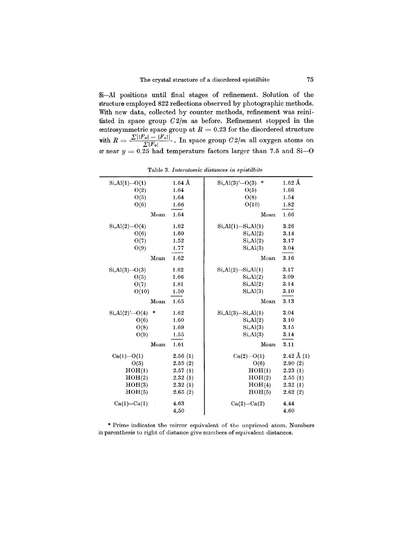Si-AI positions until final stages of refinement. Solution of the structure employed 822 reflections observed by photographic methods. With new data, collected by counter methods, refinement was reinitiated in space group  $C2/m$  as before. Refinement stopped in the centrosymmetric space group at  $R = 0.23$  for the disordered structure with  $R = \frac{\sum ||F_o| - |F_c||}{\sum |F_o|}$ . In space group  $C2/m$  all oxygen atoms on or near  $y = 0.25$  had temperature factors larger than 7.5 and Si $-$ 

| $Si, Al(1) - O(1)$          | $1.64\,\mathrm{\AA}$ | $\ast$<br>$Si, Al(3)'-O(3)$ | $1.62 \text{ Å}$      |
|-----------------------------|----------------------|-----------------------------|-----------------------|
| O(2)                        | 1.64                 | O(5)                        | 1.66                  |
| O(5)                        | 1.64                 | O(8)                        | 1.54                  |
| O(6)                        | 1.66                 | O(10)                       | 1.82                  |
| Mean                        | 1.64                 | Mean                        | 1.66                  |
| $Si, Al(2) - O(4)$          | 1.62                 | $Si, Al(1) - Si, Al(1)$     | 3.26                  |
| O(6)                        | 1.60                 | Si, Al(2)                   | 3.14                  |
| O(7)                        | 1.52                 | Si, Al(2)                   | 3.17                  |
| O(9)                        | 1.77                 | Si, Al(3)                   | 3.04                  |
| Mean                        | 1.62                 | Mean                        | 3.16                  |
| $Si, Al(3)$ - O(3)          | 1.62                 | $Si, Al(2)$ — $Si, Al(1)$   | 3.17                  |
| O(5)                        | 1.66                 | Si, Al(2)                   | 3.09                  |
| O(7)                        | 1.81                 | Si, Al(2)                   | 3.14                  |
| O(10)                       | 1.50                 | Si, Al(3)                   | 3.10                  |
| Mean                        | 1.65                 | Mean                        | 3.13                  |
| $\ast$<br>$Si, Al(2)'-O(4)$ | 1.62                 | $Si, Al(3)$ — $Si, Al(1)$   | 3.04                  |
| O(6)                        | 1.60                 | Si, Al(2)                   | 3.10                  |
| O(8)                        | 1.69                 | Si, Al(3)                   | 3.15                  |
| O(9)                        | 1.55                 | Si, Al(3)                   | 3.14                  |
| Mean                        | 1.61                 | Mean                        | 3.11                  |
| $Ca(1) - O(1)$              | 2.56(1)              | $Ca(2) - O(1)$              | $2.42 \text{ Å } (1)$ |
| O(5)                        | 2.55(2)              | O(6)                        | 2.90(2)               |
| HOH(1)                      | 2.57(1)              | HOH(1)                      | 2.23(1)               |
| HOH(2)                      | 2.32(1)              | HOH(2)                      | 2.55(1)               |
| HOH(3)                      | 2.32(1)              | HOH(4)                      | 2.32(1)               |
| HOH(5)                      | 2.65(2)              | HOH(5)                      | 2.62(2)               |
| $Ca(1)$ -Ca $(1)$           | 4.63                 | $Ca(2)$ -Ca $(2)$           | 4.44                  |
|                             | 4.50                 |                             | 4.60                  |

Table 3. *Interatomic distances in epistilbite*

in parenthesis to right of distance give numbers of equivalent distance Prime indicates the mirror equivalent of the unprimed atom. Numbers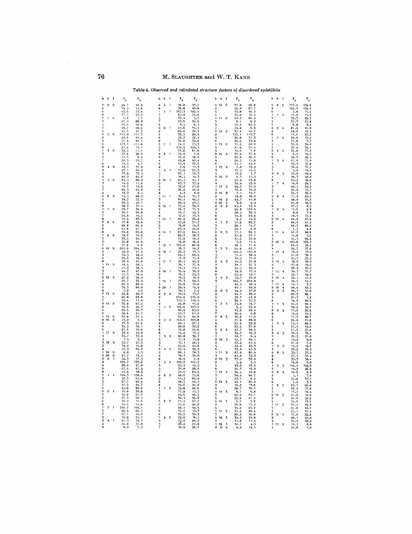| h                                       | k              | 1                       |                     | . .                 | $\cdot$<br>h               | k                        | 1                    |                     |                      | ธนา นเนน<br>h              | k              | 1                       | -8                                  | ww                        | eu epistito<br>ħ           | k              | -1               |                                      |                            |
|-----------------------------------------|----------------|-------------------------|---------------------|---------------------|----------------------------|--------------------------|----------------------|---------------------|----------------------|----------------------------|----------------|-------------------------|-------------------------------------|---------------------------|----------------------------|----------------|------------------|--------------------------------------|----------------------------|
|                                         |                |                         | $\mathbf{F_{o}}$    | $F_c$               |                            |                          |                      | $F_{o}$             | $\mathbf{F_{c}}$     |                            |                |                         | $\mathbf{F_{o}}$                    | $\mathbf{r}_{\mathbf{e}}$ |                            |                |                  | $\mathbf{r}_{_{\mathrm{o}}}$         | $\mathbf{r}_{\rm e}$       |
| $\circ$<br>4                            | 0              | $\theta$                | 44.1<br>19.5        | 38.9                | 6<br>8                     | 4                        | 1                    | 38.8<br>36.8        | 35.7<br>46.8         | $\theta$<br>$\overline{2}$ | 10             | $\overline{2}$          | 27.8<br>92.0                        | 29.8<br>87.7              | $\circ$<br>4               | $\bf{0}$       | 4                | 133.4                                | 129.6<br>139.2             |
| 6                                       |                |                         | 62, 6               | $\frac{15.6}{53.9}$ | ï                          | 5                        |                      | 167.3               | 182.4                | Ą                          |                |                         | 55.8                                | 49.3                      | 6                          |                |                  | $\frac{124.3}{7.9}$                  | 11.4                       |
| 8<br>1                                  | $\mathbf{1}$   | $\theta$                | 37.3<br>6,8         | 43.4<br>5.7         | 3                          |                          |                      | 65.9<br>17.1        | 70.8<br>5.7          | 6<br>1                     | 11             | $\overline{2}$          | 34.9<br>80.2                        | 50.2<br>86.4              | 3                          | ı              | Ą                | 17.0<br>32.3                         | 15.0<br>29.5               |
|                                         |                |                         | 87.0                | 88.0                | 5<br>7                     |                          |                      | 25.0                | 39.6                 | 3                          |                |                         | 8,1                                 | 8.0                       | 5<br>7                     |                |                  | 35.3                                 | 25.8                       |
|                                         |                |                         | 24.6<br>26.7        | 30.9<br>28,9        | 9<br>$\Omega$              | 6                        | $\blacksquare$       | 8.5<br>25.6         | 6.1<br>31.1          | 5                          |                |                         | 53.2<br>10.8                        | 63.3<br>6,6               | $\Omega$                   | $\Omega$       | 4                | 8.9                                  | 8.0<br>97.0                |
| 9<br>$\ddot{\mathbf{0}}$                | $\overline{2}$ | $\theta$                | 45.1<br>111.0       | 41.3<br>111.3       | 2<br>4                     |                          |                      | 69.6<br>32.2        | 76.3                 | $\Omega$<br>$\overline{2}$ | 12             | $\overline{2}$          | $\frac{37.9}{103.1}$                | 44.7<br>113.7             | 2<br>6                     |                |                  | 87.4<br>31.6                         | 17.4<br>27.2               |
|                                         |                |                         | 62, 6               | 63.9                | 6                          |                          |                      | 54.7                | 29.4<br>50.1         | 4                          |                |                         | 36.8                                | 31.3                      | 1                          | 3              | $\mathbf{k}$     | 20.0                                 |                            |
| Ą<br>6                                  |                |                         | 77.4<br>111.3       | 86,1<br>111.6       | 8                          | $\overline{7}$           | $\mathbf{1}$         | 32.0<br>74.2        | 32.6<br>75.3         | 6<br>1                     | 13             | $\bf{2}$                | 22.6<br>11.2                        | 33.8<br>20.3              | 3                          |                |                  | 17.8                                 | $\frac{17.5}{3.7}$<br>34.6 |
| 8                                       |                |                         | $21.9$<br>32.5      | 15.1                | 3<br>$\frac{5}{7}$         |                          |                      | 119.5               | 124.1                | 3                          |                |                         | 31.6                                | 37.4                      | $\frac{5}{7}$              |                |                  | 35.9<br>27.0                         | 32.1                       |
| $\mathbf{1}$<br>з                       | 3              | $\Omega$                | 57.6                | 51.1<br>58.0        | $\theta$                   | 8                        | $\mathbf{1}$         | 53.8<br>15.5        | 61.8<br>7.6          | 5<br>$\Omega$              | 14             | $\overline{2}$          | 10.6                                | 7.8<br>37.8               | $\Omega$<br>4              | 4              | $\boldsymbol{L}$ | 79,8                                 | 71.3<br>19.6               |
|                                         |                |                         | 11.3                | 9.4                 | $\overline{2}$             |                          |                      | 12.0                | 18.0                 | $\overline{2}$             |                |                         | $\frac{37.9}{22.6}$                 | 20.2                      | 6                          |                |                  | $6.5$<br>$59.2$<br>$67.6$            | 44.5                       |
|                                         |                |                         | 20.3<br>13.5        | 23.7<br>4.1         | 4<br>6                     |                          |                      | 42.8<br>31.4        | 42.4<br>37.7         | ı,<br>6                    |                |                         | 29.2<br>31.7                        | 15.9<br>45.6              | 3                          | 5              | $\boldsymbol{l}$ | 55.3                                 | 75.0<br>57.9               |
| $\mathbf 0$                             | 4              | $\theta$                | 43.1                | 37.9                | 8                          |                          |                      | 7.9                 | 11.3                 | ١                          | 15             | $\overline{\mathbf{2}}$ | 7.8                                 | 19.9                      | 5                          |                |                  | 36.9                                 | 31.1                       |
| 2<br>Ь                                  |                |                         | 87. 1<br>73.6       | 86.9<br>73.5        | 5                          | 9                        | 1                    | $75.9$<br>67.1      | 67.3<br>72.3         | 3<br>5                     |                |                         | 17.5<br>17.6                        | 15.6<br>5.7               | 7<br>$\bf{0}$              | 6              | $\mathbf{r}_t$   | 9.0<br>54.6                          | 14.4<br>49.9               |
| 6                                       |                |                         | 86.2                | 90.6                | 7                          |                          |                      | 16.7                | 14.3                 | $\Omega$                   | 16             | $\mathbf{2}$            | 6.7                                 | 15.5                      | 4                          |                |                  | 29.3<br>65.2                         | 45.2                       |
| 1<br>3                                  | 5              | $\ddot{\mathbf{0}}$     | 85.5<br>14.9        | 86.2<br>11.9        | Ō<br>2                     | 10                       | 1                    | 45.7                | 45.1<br>37.9         | $\overline{2}$<br>4        |                |                         | 27.4<br>50.4                        | 25.9<br>43.6              | 6<br>1                     | 7              | 4                | 16.6                                 | 59.8<br>24.7               |
|                                         |                |                         | 13.7                | 12.9                | 4<br>6                     |                          |                      | 32.8                | 21.6                 | $\mathbf{1}$               | 17             | $\overline{2}$          | 29.3                                | 31.0                      | 3                          |                |                  | 68.5                                 | 65.2                       |
| $\mathbf q$                             |                |                         | 89.5<br>12.2        | 95.6<br>9.4         | 8                          |                          |                      | 26.0<br>9.3         | 26.6<br>6.0          | 3<br>Ō                     | 18             | $\overline{2}$          | 16.6<br>7.1                         | 16.9<br>14.1              | 5<br>7                     |                |                  | 24.2<br>24.5                         | 15.7<br>30.0               |
| n<br>4                                  | 6              | $\Omega$                | 75.1                | 68.2<br>22.4        | ı                          | 11                       | 1                    | 39.4<br>60.4        | 35.3                 | $\overline{2}$<br>١        |                | $\overline{2}$          | 18.6                                | 18.6<br>41.8              | $\bf{0}$<br>$\overline{2}$ | 8              | 4                | 77.4                                 | 82.2                       |
| 6                                       |                |                         | 34.7<br>34.5        | 26.1                | 3<br>5                     |                          |                      | 29.4                | 49.5<br>21.5         | $\Omega$                   | 19<br>20       |                         | $43.7$<br>3.6                       | 9.0                       | 4                          |                |                  | 48.0<br>25.8                         | 31.5<br>44.2               |
| 8<br>$\ddot{\phantom{a}}$               | 7              | $\mathbf 0$             | 48.2<br>23.7        | 37.4<br>39.0        | 0<br>2                     | 12                       | 1                    | 35.2<br>24.3        | 39.0<br>15.5         | 0<br>$\overline{2}$        | $\theta$       | $\frac{2}{3}$           | 45.6<br>96.8                        | 45.4<br>105.4             | 6<br>1                     | 9              | 4                | $\frac{27.5}{15.6}$                  | $\frac{8}{9}$ . 8          |
|                                         |                |                         | 16,1                | 26.8                |                            |                          |                      | 50.7                | 50.5                 |                            |                |                         | 28.5                                | 32.5                      | 3                          |                |                  | 8.6                                  | 7.0                        |
| 9                                       |                |                         | 29.8<br>16.9        | 16.4<br>25.5        | 6<br>1                     | 13                       | $\mathbf{1}$         | 12,0<br>86.2        | 13.5<br>76.2         | 6<br>8                     |                |                         | 51.6<br>8.2                         | 62.9<br>14.6              | š<br>$\bf{0}$              | 10             | $\boldsymbol{k}$ | 18.3<br>64.9                         | 17.2<br>67.9               |
| $\alpha$                                | 8              | $\theta$                | 17.8                | 19.6                | 3                          |                          |                      | 45.2                | 31.7                 | 1                          | 1              | $\overline{5}$          | 51.9                                | 82.7                      | $\overline{2}$             |                |                  | 88.4                                 | 91.2                       |
| $\boldsymbol{2}$<br>6                   |                |                         | 68.8<br>41.6        | 60.2<br>41.1        | 5<br>7                     |                          |                      | 19.8                | 14.3<br>24.0         | 3<br>7                     |                |                         | 28.1<br>22,1                        | 14.7<br>6.0               | $\frac{1}{2}$<br>6         |                |                  | 68.3                                 | 80.5<br>4.8                |
| 8                                       |                |                         | 33.9                | 25.6                | ò                          | 14                       | 1                    | $25.5$<br>67.2      | 64.1                 | $\bf{o}$                   | $\overline{2}$ | $\mathbf{z}$            | 77.1                                | 69.3                      | 1                          | 11             | $\frac{1}{2}$    | $\frac{7.5}{47.7}$                   | 48.9                       |
| 3                                       | 9              | $\bf{0}$                | 18.2<br>33.1        | 16, 2<br>30.7       | 2                          |                          |                      | 68.7<br>17.9        | 59.7<br>14.0         | $\overline{2}$<br>ı,       |                |                         | 31.2<br>31.6                        | 23.1<br>20.8              | 3<br>۹                     |                |                  | 14.9<br>57.5                         | $5.2$<br>66.6              |
|                                         |                |                         | 46.8                | 46.8                | 6                          |                          |                      | 12.8                | 16.0                 | 6                          |                |                         | 7.6                                 | 11.4                      | ō                          | 12             | $\frac{1}{2}$    | 103.8                                | 103.3                      |
| n                                       | 10             | $\Omega$                | 17.9<br>205.9       | 9.6<br>224.3        | 1<br>5                     | 15                       | ١                    | 100.0<br>16.7       | 86.8<br>18.2         | 8<br>1                     | 3              | $\overline{\mathbf{3}}$ | 18.5<br>44.9                        | 11.8<br>63.3              | $\overline{2}$<br>ų        |                |                  | 64.0<br>20.7                         | 58.2<br>37.9               |
| 2                                       |                |                         | 52.0                | 47.9                | Ó                          | 16                       | 1                    | 22.2                | 13.5                 | 3                          |                |                         | 125.4                               | 135.9                     | ı                          | 13             | 4                | 16.9                                 | 13.0                       |
| 6                                       |                |                         | 54.5<br>25.6        | 49.0<br>19.6        | ò<br>4                     |                          |                      | 69.5<br>16.2        | 66.9<br>15.4         | 5<br>7                     |                |                         | 51.6<br>16.0                        | 38.4<br>17.6              | 3<br>5                     |                |                  | 21.6                                 | 30.3<br>27.3               |
| 8                                       |                |                         | 28.0                | 24.6                | 1                          | 17                       |                      | 50.4                | 44.2                 | $\Omega$                   | 4              | 3                       | 12.0                                | 21.8                      | ő                          | 14             | $\overline{a}$   | $35.5$<br>18.0                       | 16.3                       |
|                                         | 11             | $\theta$                | 18.4<br>41.2        | 28.5<br>38.5        | 3                          |                          |                      | 38.1<br>74.5        | 37.4<br>73.7         | ł,                         |                |                         | 38.1<br>52.5                        | 37.3<br>42.3              | $\overline{2}$<br>t,       |                |                  | 27.8<br>28.4                         | 19.6<br>29.2               |
|                                         |                |                         | 44.7                | 47.0                | ò<br>$^{\circ}$            | 18                       | $\mathbf{1}$         | 39.9                | 36.2                 | 6                          |                |                         | 18.9                                | 17.4                      | 1                          | 15             | $\mathbf{I}_k$   | 39.3                                 | 31.7                       |
| $\mathbf 0$                             | 12             | $\overline{0}$          | $\frac{17.3}{27.2}$ | 18.9<br>39.0        | 4                          |                          |                      | 16.5<br>13.5        | 22.3<br>10.5         | 8<br>ï                     | 5              | 3                       | 25.9<br>55.7                        | 12.1<br>50.8              | J<br>$\Omega$              | 16             | 4                | 52.1<br>42.1                         | 49.0<br>41.3               |
|                                         |                |                         | 21.7<br>90.0        | 32.0<br>88.0        | $\mathbf{1}$               | 19                       | 1                    | 33.3<br>24.9        | 22.4<br>12.8         | 3                          |                |                         | 190.3<br>46.5                       | 910.8<br>49.5             | $\circ$<br>1               | 17             |                  | 30.5<br>16.1                         | 14.1                       |
|                                         |                |                         | 79.3                | 86.0                | 1<br>ō                     | 20                       |                      | 28.4                | 19.9                 | ž                          |                |                         | 46.1                                | 64.4                      | o                          | 18             | 4<br>4           | 48.9                                 | $\frac{3.7}{43.5}$         |
| 8<br>1                                  | 13             | $\bf{0}$                | 7.2<br>25.9         | 5.2<br>22.2         | 2<br>0                     | $\mathbf 0$              | $^{2}$               | 14, 1<br>14.4       | 7.2<br>13.2          | ō<br>$\overline{2}$        | 6              | $\overline{\mathbf{3}}$ | 49.0<br>44.1                        | 47.8<br>22.0              | 0<br>2                     | $\mathbf 0$    | 5                | 36.1<br>89.5                         | 41.6<br>89.1               |
| 3                                       |                |                         | 90.8                | 93.8                | $\overline{2}$             |                          |                      | 214.9               | 214.0                | h                          |                |                         | 52.7                                | 43.2                      | ı,                         |                |                  | 21.3                                 | $\overline{1,2}$           |
| 7<br>$\bf{o}$                           | 14             | $\ddot{\mathbf{0}}$     | 12.4<br>76.9        | 11.8<br>67.2        | ı,<br>8                    |                          |                      | 115.5<br>29.8       | 110.5                | 6<br>1                     | 7              | $\overline{\mathbf{3}}$ | 36.1<br>75.6                        | 32.2                      | 6<br>1                     | $\mathbf{1}$   | 5                | 19.2<br>95.4                         | 22.6                       |
| $\overline{2}$                          |                |                         | 16.3                | 20.3                | 1                          | 1                        | $\overline{2}$       | 106.0               | $\frac{55.9}{103.0}$ | 3                          |                |                         | 6.5                                 | $79.7$<br>25.0            | ۹                          |                |                  | 70.8                                 | 98.5<br>39.7               |
| 6                                       |                |                         | 25.4<br>18.6        | 26.7<br>21.7        | 3<br>š                     |                          |                      | 80.9<br>54.7        | 85.6<br>61.2         | 5                          |                |                         | 15.6<br>28.4                        | 28.4<br>6.8               | ō<br>$\overline{2}$        | $\overline{2}$ | 5                | 13.2<br>14.2                         | 20.9                       |
| 1                                       | 15             | $\bf o$                 | 30.8                | 31.5                |                            |                          |                      | 40.4                | 40.8                 | 0                          | 8              | $\overline{\mathbf{3}}$ | 16.6                                | 11.3                      |                            |                |                  | 17.7                                 | $\frac{10.5}{28.7}$        |
| $\Omega$<br>$\circ$                     | 16             | $\bf{0}$                | 13.0<br>17.3        | 5.5<br>21.6         | $\bf{0}$<br>$\circ$        | $\overline{2}$           | $\circ$              | 104.0<br>96.5       | 105.8<br>97.5        | $\overline{2}$<br>Ł,       |                |                         | 27.9<br>47.9                        | 20.0<br>52.2              | 6<br>ï                     | 3              | 5                | 24.4<br>75.5                         | 21.9<br>86.2               |
| 4<br>6                                  |                |                         | 34.5<br>21.4        | 32.1<br>10.9        | ł,<br>6                    |                          |                      | 28.8<br>12.8        | 32.2<br>24.6         | 6                          |                |                         | 33.6                                | 31.9                      | 3                          |                |                  | $\frac{47.5}{41.4}$                  | 33.0                       |
| 1                                       | 17             | $\theta$                | 55.6                | 55.8                | 8                          |                          |                      | 14.9                | 17.5                 | 3<br>5                     | 9              | 3                       | 47.7<br>$\frac{34.7}{18.7}$         | 40.5<br>12.5              | 5<br>$\overline{0}$        | 4              | 5                | $36.4$<br>26.5                       | 57.8                       |
|                                         |                |                         | 35.7<br>7.4         | 35.0<br>6.2         | 1                          | $\overline{\mathbf{3}}$  | $\overline{2}$       | 40.8<br>11.4        | 39.7<br>11.6         | 7<br>o                     | 10             | $\overline{\mathbf{3}}$ |                                     | 6.4<br>64.1               | 2                          |                |                  | 15.2                                 | $\frac{33.1}{21.0}$        |
| n                                       | 18             | $\bf{0}$                | 52.7                | 47.3                | 57                         |                          |                      | 17.1                | 26.3                 | $\overline{2}$             |                |                         | 57.7<br>67.2                        | 65.4                      | 6                          |                |                  | 21.0                                 | $\frac{9.0}{7.9}$<br>12.7  |
| 2<br>ł,                                 |                |                         | 19.9<br>72.3        | 16.8<br>64.2        | $\mathbf{r}$               | ı,                       | $\overline{2}$       | 25.6<br>57.4        | 25.6<br>39.5         | 6                          |                |                         | 22.2                                | 20.3<br>45.3              | 1<br>٦                     | 5              | 5                | 19.9                                 |                            |
| 1                                       | 19             | $\pmb{0}$               | 9.8                 | $\frac{5.3}{13.5}$  | $\overline{2}$             |                          |                      | 80.1                | 78.3                 | 1                          | 11             | $\overline{\mathbf{3}}$ | 33.0<br>87.8                        | 80.4                      | $\bf{0}$                   | 6              | 5                | $33.2$<br>$35.7$<br>$57.5$<br>$53.3$ | 35.0<br>27.5               |
| $\boldsymbol{2}$<br>$\ddot{\mathbf{0}}$ | 20<br>$\theta$ | $\pmb{0}$               | 21.7<br>52.3        | 57.5                | 6<br>8                     |                          |                      | 38.3<br>18.9        | 34.6<br>6.9          | Б<br>ò                     | 12             | $\overline{\mathbf{z}}$ | 81.6<br>77.2                        | 75.3<br>72.0              | $\overline{2}$<br>4        |                |                  |                                      | $55.4$<br>$58.4$           |
| $\overline{2}$                          |                |                         | 124.7               | 133.6               | 1                          | 5                        | $\overline{2}$       | 122.0               | 107.7                | $\overline{2}$             |                |                         | 5.9                                 | 5.5                       | 6                          |                |                  | 14.8                                 | 6.0                        |
| h<br>6                                  |                |                         | 22.6<br>67.4        | 27.0<br>67.4        | 3                          |                          |                      | 25.7<br>30.8        | 15.5<br>26.0         | 6                          |                |                         | 43.6<br>24.7                        | 43.5<br>16.0              | 1<br>7                     | 7              | 5                | 144.5<br>14.5                        | 49.3<br>26.9               |
| 8                                       |                |                         | 17.9                | 18.4                | ۔<br>ح                     |                          |                      | 50.0                | 63.4                 | 1                          | 13             | 3                       | 34.4                                | 16.9                      | $\theta$                   | A              | 5                | 10.6                                 | 8, 0                       |
| 1<br>3                                  | 1              | $\mathbf{I}$            | 146.3<br>52.3       | 138.6<br>85.8       | $\Omega$<br>$\overline{2}$ | 6                        | $\overline{2}$       | 48.6<br>64.5        | 55.6<br>60.0         | 3<br>5                     |                |                         | 68.0<br>23.1                        | 69.766.2                  | ۰<br>4                     |                |                  | 5.1<br>25.8                          | 7.6<br>17.1                |
|                                         |                |                         | 97.1                | 99.9                | 6                          |                          |                      | 48.5                | 44.1                 | $\ddot{\mathbf{0}}$        | 14             | 3                       | 40.1                                | 26.4                      | 6                          |                |                  | 7.2                                  | 3.3                        |
| 9                                       |                |                         | 51.3<br>45.6        | 24.7<br>29.9        | 8<br>1                     | $\overline{\phantom{a}}$ | $\overline{2}$       | 30.6<br>52.8        | 50.2<br>48.9         | $\overline{2}$<br>4        |                |                         | 16.2<br>29.7                        | 13.6<br>36.1              | 1<br>3                     | ٩              | 5                | 85.1<br>28.0                         | 96.8<br>17.8               |
| $\theta$<br>$\Omega$                    | $\overline{2}$ | $\overline{\mathbf{1}}$ | 16.8                | 30.8                |                            |                          |                      | 17.9                | 15.7                 | ī                          | 15             | $\overline{\mathbf{3}}$ | $\mathbf{\hat{8}}.\mathbf{\hat{7}}$ | 6.8                       | ğ                          |                |                  | 13.7                                 | 14.4                       |
|                                         |                |                         | 19.8<br>37.3        | 21.7<br>40.5        | 5<br>7                     |                          |                      | 42.6<br>38.1        | 49.7<br>39.3         | 3<br>5                     |                |                         | 62.0<br>22,9                        | 64.1<br>21.4              | $\bf{0}$<br>$\overline{2}$ | 10             | 5                | 21.9<br>30.0                         | 12.6<br>28.9               |
| 6<br>8                                  |                |                         | 30.0<br>24.6        | 16.8<br>32.6        | $\Omega$<br>$\overline{2}$ | 8                        | $\ddot{\phantom{0}}$ | 91.2<br>95.0        | 87.2<br>98.0         | $\theta$<br>$\Omega$       | 16             | 3                       | 6.7<br>20.9                         | 5,8<br>15.2               | 4<br>$\mathbf{1}$          | 11             |                  | 19.0                                 | 13.6                       |
|                                         | 3              | 1                       | 206.2               | 194.1               | 4                          |                          |                      | 48.1                | 49.3                 | 4                          |                |                         | 34.8                                | 25.2                      | ٦                          |                | 5                | 34.1<br>47.0                         | 29.0<br>40.2               |
|                                         |                |                         | 89.4<br>47.1        | 89.5<br>44.0        | 6<br>8                     |                          |                      | $\frac{17.7}{20.7}$ | 12.3<br>30.3         | 1<br>٦                     | 17             | $\overline{\mathbf{3}}$ | 35.8<br>28.2                        | 29.4<br>19.6              | 5<br>ō                     | 12             | г,               | 25.5<br>17.0                         | 37.4<br>22.2               |
| 9                                       |                |                         | 16.9                | 24.1                | ٠,                         | 9                        | $\overline{2}$       |                     | 16.1                 | ò                          | 18             | $\overline{\mathbf{5}}$ | 30.3                                | 24.9                      | $\overline{2}$             |                |                  | 28.1                                 | 21.8                       |
| $\bf{o}$                                | 4              | $\mathbf{1}$            | 87.2<br>50.8        | 78.7<br>51.8        | 3                          |                          |                      | $\frac{22.6}{72.0}$ | 84.7<br>27.8         | $\overline{2}$<br>1        | 19             |                         | 11.6<br>16.7                        | 11.4<br>4.5               | Ą<br>1                     | 13             | 5                | 35.4<br>14.1                         | 40.2<br>6.6                |
|                                         |                |                         | 8.0                 | 7.5                 |                            |                          |                      | 16.0                | 26.7                 | $\bf{0}$                   | $\bf{0}$       | 34                      | 8.8                                 | 14.1                      | В                          |                |                  | 22.8                                 | 7.8                        |

Table 4. Observed and calculated structure factors of disordered enistilbite

 $\sim$   $\sim$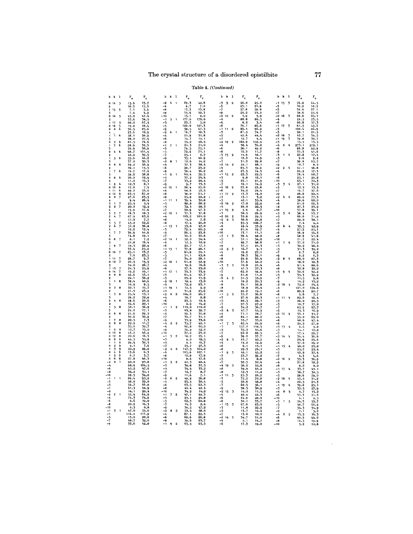# Table 4. (Continued)

| h<br>k<br>ı                                                  | г.                  | $\mathbf{r}_{\rm c}$                                              | h<br>ı<br>k                                              | $\mathbf{F_{o}}$            | $\mathbf{r}_{\rm e}$         | h<br>k<br>ı                                   | $\mathbf{r}_\mathrm{o}$              | $\mathbf{r}_{\rm c}$ | h<br>k                     | ı                       | $\mathbf{r}_{_{\mathrm{o}}}$        | $\mathbf{r}_{\rm e}$ |
|--------------------------------------------------------------|---------------------|-------------------------------------------------------------------|----------------------------------------------------------|-----------------------------|------------------------------|-----------------------------------------------|--------------------------------------|----------------------|----------------------------|-------------------------|-------------------------------------|----------------------|
| 0<br>14<br>5                                                 | 15.6                | 15.7                                                              | $-2$<br>4<br>1                                           | 29.3                        | 42.6                         | -3<br>9<br>$\overline{2}$                     | 26.0                                 | 25.0                 | 15<br>-1                   | $\overline{\mathbf{3}}$ | 76.8                                | 64.5                 |
| $\overline{2}$                                               | 16.3                | 15.547.554                                                        | $-4$                                                     | 8.7                         | 7.0                          | $-5$<br>$-7$<br>$-9$                          | $\frac{23.1}{57.8}$                  | 21.9                 | $-3$<br>$-5$<br>$-7$       |                         | 10.2                                | 10.5                 |
| 5<br>$\mathbf{1}$<br>15<br>Б                                 | 7.1<br>7.4          |                                                                   | $-6$<br>$-8$                                             | 13.3                        | 13.8<br>32.3                 |                                               | 24.2                                 | 59.8<br>25.0         |                            |                         | 34.4<br>38.6                        | 27.1                 |
| 16<br>5<br>0                                                 | 45.0                |                                                                   | - 10                                                     | $35.6$<br>$15.7$<br>$177.6$ | 9.0                          | $-2$<br>10<br>$\overline{\mathbf{2}}$         | 3.9                                  | 5.9                  | 16<br>$-2$                 | $\overline{\mathbf{3}}$ | 68.6                                | 25.6<br>65.3         |
| $\overline{2}$                                               | $\frac{5}{66}$ . 6  |                                                                   | $-1$<br>5<br>$\blacksquare$                              |                             | 178.0                        | $-4$                                          | 88.8                                 | 86.5                 | $-4$                       |                         | 24.5                                | $23.5$<br>57.3       |
| 17<br>556<br>1<br>18<br>o                                    | 19.2                |                                                                   | -3<br>-5                                                 | 23.7<br>122.0               | 5.0<br>121.3                 | $-6$<br>$-8$                                  | 8.2<br>79.1                          | 5.4<br>86.6          | $-6$<br>17<br>$-1$         | $\overline{\mathbf{3}}$ | 66.8<br>61.5                        | 45.7                 |
| $\pmb{0}$<br>Đ                                               | 36.5                | 25.6                                                              |                                                          | 58.5                        | 67.3                         | - 1<br>11<br>$\overline{2}$                   | 89.4                                 | 96.2                 | -3                         |                         | 100.4                               | 86.0                 |
| ۸                                                            | 23.6                | 10.9                                                              | $\frac{5}{2}$<br>6<br>$\mathbf{1}$                       | 16.7                        | 18.3                         | -3                                            | 81.5                                 | 74.7                 | $-5$                       |                         | 20.1                                | 21.5                 |
| 'n<br>6                                                      | 58.1                | 56.9                                                              | $-4$                                                     | 21.9                        | 31.8                         | $\frac{1}{2}$                                 | 42.6                                 | 44.4                 | -2<br>18                   | 3                       | 42.7                                | 34.5                 |
| 3<br>ò<br>2<br>6                                             | 28.0<br>81.5        | 27.4<br>74.6                                                      | -6<br>-8                                                 | 14.7<br>35.2                | 15.1<br>28.5                 | $-2$<br>12<br>$\overline{2}$                  | 12.7<br>162.9                        | 4.4<br>152.9         | - 1<br>19<br>$-3$          | 3                       | 39.8<br>15.5                        | 33.7<br>13.          |
| 3<br>6<br>1                                                  | 28.9                | 32.3                                                              | $-1$<br>$\overline{\mathbf{r}}$<br>J.                    | 21.3                        | 21.0                         | $-4$                                          | 58.1                                 | 36.8                 | -4<br>$\bf{0}$             | 4                       | 273.1                               | 272.                 |
|                                                              | 36.9                | 38.8                                                              | $-3$                                                     | 79.5                        | 75.1                         | -6                                            | 56.1                                 | 49.2                 | -6                         |                         | 88.8                                | 92.9                 |
| 6<br>ò<br>ł,<br>$\overline{2}$                               | 98.7<br>42,2        | $101.5$<br>36.5                                                   | $\frac{15}{7}$                                           | 72.6<br>25.1                | 71.1<br>8.7                  | $-8$<br>-3<br>13<br>$\overline{2}$            | 12.3                                 | 11.7<br>18.1         | $-8$<br>-3<br>$\mathbf{1}$ | 4                       | 33.3<br>20.8                        | 41.<br>17.1          |
| $\mathbf{1}$<br>5<br>6                                       |                     | 46.2                                                              | $-\mathbf{Q}$                                            | 35. 1                       | 46.9                         | -5                                            | $\frac{14.9}{12.2}$                  | 14.9                 | $-5$                       |                         | 9.6                                 | 9.2                  |
| 3                                                            | 55.6<br>37.0        | 30.3                                                              | $-2$<br>-я.<br>$\overline{\phantom{a}}$                  | 12.6                        | $14.9$<br>38.4               | -7                                            | 31.2                                 | 29.8                 | -7                         |                         | $\frac{59.6}{10.7}$                 | 65.7                 |
| 6<br>6<br>a<br>2                                             | 69.2                | 56.9                                                              | $-4$<br>-6                                               | 37.3<br>28.7                |                              | $-2$<br>14<br>$\overline{2}$<br>$-4$          |                                      | 48.1                 | $-9$<br>$2 - 4$<br>$-2$    |                         | 47.1                                | 8.5<br>56.8          |
| 6<br>$\overline{\mathcal{U}}$<br>$\mathbf{1}$                | 39.1<br>19.7        | $15.5$<br>$17.0$                                                  | -8                                                       | 38.4                        | $\frac{23.2}{36.2}$          | -6                                            | $54.1$<br>$65.3$<br>$23.5$<br>$22.3$ | $59 - 9$<br>14.3     | $-4$                       |                         | 24.2                                | 17.3                 |
| з                                                            | 59.2                | 58.8                                                              | $-1$<br>$\mathbf{1}$<br>9                                | 60.4                        | .<br>59. 5                   | $\overline{2}$<br>-1<br>15                    |                                      | 22.5                 | -6                         |                         | 76.4                                | 68.7                 |
| 8<br>6<br>$\mathbf{0}$<br>2                                  | 26.0<br>11.0        | $12.4$<br>15.3                                                    | $\frac{-5}{-7}$                                          | 37.2<br>33.2                | 24.4<br>20.4                 | $-3$<br>$-5$                                  | 9.8<br>23.1                          | 12.1<br>21.9         | $-8$<br>$-10$              |                         |                                     | 20.8<br>70.3         |
| 6<br>9<br>1                                                  | 12.5                | 8,1                                                               | $-\mathbf{Q}$                                            | 9.7                         | 13.3                         | -7                                            | 19.1                                 | 14.9                 | $\overline{5}$<br>$-5$     | 4                       | $25.1$<br>65.1<br>27.1              | 31.                  |
| ۱Ó<br>6<br>$\bf{0}$                                          | 15.0                | 7.5                                                               | -2<br>10                                                 | 28.4                        | 25.0                         | 16<br>-4<br>$\overline{2}$                    | 23.0                                 | 23.8                 | $\frac{1}{2}$              |                         | 12.2                                | 13.3                 |
| 6<br>11<br>1<br>6<br>Ó<br>12                                 | 49.2<br>63.5        | 53.0<br>67.0                                                      | $-6$                                                     | 48.6                        | 53.5<br>61,1                 | -6<br>-1<br>$\overline{2}$<br>17              | 34.2<br>13.3                         | 24.4                 |                            |                         | 19.7<br>26.6                        | 37.                  |
| $\pmb{0}$<br>7<br>o                                          | 27.6                | 23.5                                                              | -8                                                       | 59.0<br>25.8                | 22.2                         | -3                                            | 13.1                                 | 14.0<br>3.2          | -9<br>$-2$<br>4            | A,                      | 80.0                                | 22.5<br>77.3         |
|                                                              | 9.4                 | 26.4                                                              | - 1<br>11<br>$\mathbf{1}$                                | 39.4                        | 32.8                         | $-5$                                          | 42,1                                 | 35.4                 | $-4$                       |                         | 56.6                                | 68.                  |
| ı<br>$\frac{7}{7}$                                           | 25.4                | 5.4                                                               | -3                                                       | 28.8                        | 28.2                         | $-2$<br>18<br>$\overline{2}$<br>-4            | 17.0                                 | 22.9                 | -6<br>$-8$                 |                         | 61.6                                | 66.                  |
| $\overline{2}$<br>2<br>4                                     | 20.2<br>15.9        | 12.2<br>17.6                                                      | $-5$<br>$-7$                                             | 32.3<br>50.9                | 28.3                         | 2<br>$-1$<br>19                               | 26,0<br>5.6                          | 22.5<br>2,7          | $-10$                      |                         | 27.3<br>37.8                        | 23.9<br>39.1         |
| $\frac{7}{7}$<br>3<br>3                                      | 16.5                | 18.3                                                              | $-2$ 12<br>$\mathbf{1}$                                  | $\frac{37.3}{103.2}$        | $\frac{47.3}{37.8}$<br>101.0 | $-5$                                          | 30.3                                 | 26.9                 | $5 - 4$<br>$-3$            |                         | 58.4                                | 63.7                 |
| $\overline{2}$                                               | $67.9$<br>17.0      | $63.6$<br>$7.7$<br>$62.6$                                         | $-4$                                                     |                             | 7.6                          | $-2$<br>20<br>$\overline{\mathbf{2}}$         | - 55.9<br>30.6                       | 29.5                 | -5                         |                         | 66.6                                | 71.9                 |
| з                                                            |                     |                                                                   | $-6$<br>$-8$                                             | $15.0$<br>17.4              | 20.0                         | 3<br>$-2$<br>$\bf{0}$<br>$-4$                 |                                      | 29.0<br>108.7        | $-7$<br>$-\mathbf{Q}$      |                         | 28.0                                | 38.1<br>4.4          |
| $\frac{7}{7}$<br>$\frac{5}{6}$<br>$\overline{2}$             | $45.0$<br>51.2      | 36.8                                                              | $-1$<br>13<br>$\mathbf{I}$                               | $\frac{55.0}{72.4}$         | 47.0                         | $-6$                                          | 95.5                                 | 55.9                 | 6<br>$-2$                  | $\frac{1}{2}$           | $7.4$<br>32.5                       | 42.9                 |
|                                                              | 12,2                | 12,4                                                              | $-3$<br>$-5$<br>$-7$                                     |                             | $60.5$<br>23.6               | -8                                            | 21,4                                 | 19.7                 | $-4$                       |                         | 27.2                                | 25.1                 |
| $\overline{7}$<br>1                                          | 36.9<br>14.8        | 44.6<br>19.1                                                      |                                                          | 26.5<br>36.0                | 30.6                         | - 10<br>$-3$<br>$1 \quad 3$                   | 13.1<br>39.4                         | 11.1<br>48.2         | $-6$<br>$-8$               |                         | 56.9                                | 54.3<br>41.8         |
| 3<br>o<br>8<br>7                                             | 8.1                 | 7.2                                                               | -2<br>14                                                 | 52.0                        | 54.4                         | -5                                            | 51.1                                 | 54.0                 | - 10                       |                         | $\frac{48.9}{21.2}$                 | 22.                  |
| $\overline{2}$                                               | 21.8                | 16.4                                                              | $-4$                                                     | 12.5                        | 10.9                         | $-7$                                          | 49.7                                 | 48.6                 | -1<br>7                    | -4                      | 37.2                                | 71.0                 |
| 1<br>9<br>7                                                  | 19.5                | 20.9                                                              | -6<br>$-1$                                               | 20.7                        | 17.1                         | -9                                            | 37.1                                 | 21.3                 | $-5$                       |                         | 39.2                                | 46.                  |
| o<br>10<br>$\overline{\phantom{a}}$                          | 33.4<br>25.1        | 25.0<br>13.7                                                      | 15<br>-3                                                 | 37.8<br>81.8                | 28.1<br>70.1                 | -2<br>2 <sub>3</sub><br>-4                    | 16.7<br>19.2                         | 9.1<br>27.1          | $\frac{1}{2}$              |                         | $\frac{31.3}{9.7}$                  | 39.<br>8.            |
| $\overline{2}$                                               | 7.0                 | 23.5                                                              | -5                                                       | 51.1                        | 43.6                         | $-6$                                          | 38.3                                 | 39.1                 | -9                         |                         | 9.2                                 | 6.3                  |
| 11<br>7<br>1                                                 | 26.7                | 9.7                                                               | -7                                                       | 34.0                        | 28.1                         | -8                                            | 24.9                                 | 30.4                 | -2<br>8                    | $\frac{1}{2}$           | 88.0                                | 87.                  |
| 7<br>$\ddot{\mathbf{0}}$<br>12<br>$\mathbf 2$                | 22.5<br>34.0        | $\frac{15.5}{26.7}$                                               | $-2$<br>16<br>$\mathbf{1}$<br>$-4$                       | 61.8<br>19.6                | 52.9<br>16.6                 | - 10<br>-3<br>3 <sub>3</sub>                  | 37.9<br>10.8                         | 40.2<br>21.4         | -4<br>$-6$                 |                         | 18.2<br>91.4                        | 18.<br>88.           |
| $\mathbf{1}$<br>13                                           | 24.3                | 25.9                                                              | -6                                                       | 27.6                        | 25.0                         | $\frac{1}{2}$                                 | 47.3                                 | 37.3                 | -8                         |                         | 32.8                                | 32.                  |
| $\begin{array}{c} 7 \\ 7 \\ 8 \end{array}$<br>o<br>14        | 10.2                | 10,1                                                              | -1<br>17<br>-1                                           | 33.3                        | 33.9                         |                                               | 62.0                                 | 59.4                 | -3<br>9                    | $\mathbf{r}$            | 30.6                                | 32.2                 |
| $\bf{0}$<br>o<br>2                                           | 46.6<br>26.1        | 53.1<br>38.2                                                      | $\frac{-3}{-5}$                                          | 61.4<br>23.2                | 47.7                         | $-\mathbf{Q}$<br>$-2$<br>$4 - 3$              | 21.9                                 | 11.0<br>53.9         | -5<br>$-7$                 |                         | $35.3$<br>11.5<br>14.2              | 32.2                 |
| 8<br>$\mathbf{1}$<br>1                                       | 38.4                | 40.6                                                              | $-2$<br>18                                               | 18.4                        | $15.9$<br>13.0               | $-4$                                          | $\frac{51.5}{18.2}$                  | 20.3                 | -9                         |                         |                                     | 9.8<br>13.2          |
| 3                                                            | 16.9                | 9.5                                                               | $-4$                                                     | 72.2                        | 63.1                         | $-6$                                          | 34.1                                 | 35.8                 | 10<br>-2                   | $-4$                    | $75.6$<br>121.0                     | 74.4                 |
| $\ddot{\mathbf{0}}$<br>$\overline{2}$<br>8<br>$\overline{2}$ | 32.1<br>21.3        | 15.7<br>23.2                                                      | $-1$<br>19<br>$\mathbf{1}$                               | 12.5<br>31.9                | 9.9<br>25.6                  | -8<br>-10                                     | 18.9<br>22.2                         | 25.4<br>19.1         | $-4$<br>$-6$               |                         |                                     | 124.                 |
| $\mathbf{I}$<br>3<br>8                                       | 25.4                | 13.1                                                              | $\frac{1}{2}$<br>$\overline{\mathbf{2}}$<br>$\mathbf{0}$ | 104.0                       | 96.7                         | $-1$<br>5<br>$\overline{\mathbf{3}}$          | 35.2                                 | 56.6                 | $-8$                       |                         | 89.9                                | $\frac{90.7}{3.7}$   |
| 3                                                            | 29.2                | 32.8                                                              | $-4$<br>$-6$                                             | 18.7                        | 8.8                          | -3                                            | 27.9                                 | 28.3                 | 11<br>- 1                  | 4                       | 82.6                                | 56.4                 |
| 8<br>0<br>Ą<br>$\overline{2}$                                | 49.6<br>34.6        | 28.6<br>20.1                                                      | -10                                                      | 23.5<br>8.9                 | 10.4<br>14.2                 | -5<br>$-7$                                    | 88.5<br>97.5                         | 88.1<br>97.2         | -3<br>$-5$                 |                         | 26.0<br>10.7                        | 20.<br>17.0          |
| 5<br>8<br>1                                                  | 52.1                | 56.9                                                              | $1 \quad 2$                                              | 110.0                       | 110.0                        | $\frac{-9}{-2}$                               | 34.2                                 | 36.7                 | -7                         |                         |                                     | 67. .                |
| 3                                                            | 24.2                | 17. 1                                                             | $-3$<br>$-5$<br>$-7$                                     | 63.8                        | 59.7                         | 6 3                                           | 47.7                                 | 44.9                 | -9                         |                         | $65.9$<br>14.3                      | 16.9                 |
| 6<br>8<br>$\ddot{\mathbf{0}}$<br>$\mathfrak{p}$              | 21.6<br>36.6        | 29.3<br>30.9                                                      |                                                          | 29.3                        | 35.8                         | $-4$<br>$-6$                                  | 71.1                                 | 78.7<br>88.0         | -2<br>12                   |                         | 33.1                                | 31.7                 |
| 7<br>8<br>1                                                  | 20.5                | 7.5                                                               |                                                          | 30.7<br>33.9                | 31.1<br>33.6                 | $-10$                                         | 84.1<br>33.7                         | 33.6                 | -4<br>-6                   |                         | 55.0<br>48.6                        | 65.<br>47.           |
| $\mathbf{8}$<br>8<br>O                                       | 22.9                | 11.7                                                              | $\frac{-9}{-4}$<br>2 <sub>2</sub>                        | 35.7                        | 40.1                         | 7 <sub>5</sub><br>$-1$                        | 82.4                                 | 84.9                 | -8                         |                         | 29.2                                | 27.                  |
| $\overline{2}$<br>8<br>q<br>1                                | $\frac{35.0}{12.7}$ | 38.7                                                              | $-6$<br>$-8$                                             | 66.8<br>56.9                | 60, 2<br>52.0                | $-3$<br>$-5$                                  | $157.0$<br>35.3                      | 168.4<br>35.6        | -3<br>13                   | 4                       | 6.6                                 | 9.<br>10.            |
| $\pmb{0}$<br>10<br>8                                         | 43.0                | $\frac{13.0}{46.2}$                                               | $-10$                                                    | 27.0                        | 23.0                         | -7                                            | 92.0                                 |                      | $-5$<br>$-7$               |                         | 14,1<br>17.4                        | 28.7                 |
| 8<br>$\ddot{\mathbf{0}}$<br>12                               | 20.6                | 16.3                                                              | $-1$<br>$\overline{\mathbf{3}}$<br>$\overline{2}$        | 18.2                        | 25.1                         | $-9$                                          | $\frac{39.2}{43.7}$                  | $\frac{88.5}{37.7}$  | $-2$<br>14                 | 4                       | $34.4$<br>24.9                      | 36.                  |
| Ó<br>$\bf{0}$<br>9<br>ğ<br>1                                 | 44.5<br>29.4        | 35.8<br>30.3                                                      |                                                          | 9.0<br>9.3                  | 18.5<br>16.7                 | $-2$<br>8<br>$\overline{\phantom{a}}$<br>$-4$ | 14.2                                 | 40.2<br>12.9         | $-4$<br>-6                 |                         | 37.0                                | 25.6                 |
| $\ddot{\mathbf{0}}$<br>2<br>9                                | 9.1                 | 7.6                                                               | $-3$<br>$-5$<br>$-7$                                     | 25.7                        | 27.3                         | -6                                            | 6.1                                  | 13. 1                | 15<br>- 1                  | $\Delta$                | 40.0                                | 29.2<br>23.8         |
| 9<br>1<br>3                                                  | 20.9                | 26.8                                                              | -2<br>$\ddot{\phantom{a}}$<br>$\overline{2}$             | 147.5                       | 164.2                        | -8                                            | 22.3                                 | 24.1                 | -3                         |                         | 25.7                                | 23.                  |
| $\bf{o}$<br>4<br>9<br>1<br>9                                 | 13,6                | 6, 3                                                              | $-4$<br>$-8$                                             | 105.6                       | 107.1                        | - 1<br>$\overline{\mathbf{3}}$<br>9           | 46.1                                 | 45.2                 | -5                         |                         | 42.8                                | 37.                  |
| 5<br>6<br>$\bf{0}$<br>9                                      | 6.7<br>27.8         | 3.7<br>46.3                                                       | -10                                                      | 12.8<br>8.6                 | 17.9<br>17.6                 | -3                                            | 53.7<br>11.4                         | 59.2<br>8.8          | -7<br>16<br>-2             | 4                       | 4.3<br>35.3                         | 4.<br>56.9           |
| -2<br>$\Omega$                                               | 90.0                | 93.8                                                              | 5 2                                                      | 41.3                        | 48.4                         | $\frac{-5}{-7}$                               | 32.3                                 | 32.4                 | -4                         |                         | 21.8                                | 18                   |
| -4                                                           | 98.9                | 104.5                                                             | $\frac{-1}{-3}$                                          | 39.8                        | 37.3                         | -4<br>10<br>$\overline{\mathbf{z}}$           | 58.2                                 | 55.6                 | -6                         |                         | 9.2                                 | 8.0                  |
| -6<br>$-8$                                                   | 45.2<br>34.2        | 47.6                                                              | $\frac{5}{7}$                                            | 34.4<br>10.7                | 33.2<br>0.7                  | -6<br>$-8$                                    | 39.0                                 | 45.2<br>11.0         | 17<br>-1<br>-3             | ł,                      | 33.7<br>36.7                        | 43.<br>38.           |
| - 10                                                         | 28.5                |                                                                   |                                                          | 11.6                        |                              | $-1$<br>11<br>$\overline{\mathbf{3}}$         | 12.3<br>25.5                         | 28.2                 | $-5$                       |                         | 28.6                                | 29.                  |
| $-1$<br>$\mathbf{1}$<br>1                                    | 86.4                | $\frac{31.1}{34.0}$<br>$\frac{54.0}{95.2}$<br>$\frac{95.2}{29.0}$ | $\frac{-9}{-2}$<br>6<br>$\overline{2}$                   | 49.2                        | $7.1$<br>56.8                | $-5$                                          | 75.5                                 | 70.8                 | $-2$<br>18                 | 4                       | $\frac{43.5}{20.5}$                 | 31,                  |
| $\frac{-3}{-5}$                                              | 58.0<br>54.7        | 66,8                                                              | $-4$<br>$-6$                                             | 25.5<br>63.5                | $\frac{30.4}{62.3}$          | $\frac{-5}{-7}$                               | 50.9                                 | 48.8<br>56.1         | -4<br>$-1$                 |                         |                                     | 21.                  |
| -7                                                           | 61.3                | 44.9                                                              | $-8$                                                     | 40.4                        | 42.4                         | $-9$                                          | 60.5<br>38.5                         | 30.9                 | 19<br>-3                   | 4                       | $39.8$<br>$35.5$<br>$4.7$           | 25.<br>27.9          |
| $-9$                                                         | 14.1                | 20.4                                                              | -10                                                      | 34.2                        | 14.2                         | -2<br>12<br>3                                 | 14.0                                 | 11.5                 | o<br>-4                    | 5                       |                                     | 15.                  |
| $-2$<br>2<br>$\overline{\mathbf{1}}$<br>-4                   | 55.4<br>74.3        | 64.0<br>74.6                                                      | 72<br>$-1$                                               | 47.1<br>23. 1               | 49.3<br>24.8                 | $-4$<br>-6                                    | 40.4<br>24.9                         | 42.3<br>28.0         | $-6$<br>$-10$              |                         | $\frac{33.3}{4.1}$                  | 31.1                 |
| $-6$                                                         | 8.6                 | 12.0                                                              | $-3$<br>$-5$<br>$-7$                                     | 62.3                        | 60.8                         | -8                                            | 30.1                                 | 33.7                 | 1<br>-3                    | 5                       |                                     | 9,                   |
| -8                                                           | 20.9                | 14.3                                                              |                                                          | 14.3                        | 2.4                          | - 1<br>13<br>$\overline{3}$                   | 97.6                                 | 83.0                 | $-5$                       |                         | $54.3$<br>$48.7$<br>$34.3$<br>$7.1$ | $\frac{53.7}{66.9}$  |
| - 10<br>$\blacksquare$                                       | 6.3                 | 0.8                                                               | $\frac{1}{2}$<br>8<br>$\overline{2}$                     | 36.5                        | 47.2                         | $-3$                                          | 11.8                                 | 22.9                 | -7                         |                         |                                     | 34.9                 |
| $-1$<br>3<br>$-3$                                            | 47.0<br>116.2       | 55.6<br>111.9                                                     | $-4$                                                     | 53.4<br>87.1                | 58.0<br>82.3                 | $-5$                                          | 13.7<br>13.6                         | 10.2<br>10, 2        | -9<br>$\overline{2}$       | 5                       |                                     | 5.2<br>16.3          |
| $\frac{1}{2}$                                                | 13.0                | 20.0                                                              | $-6$                                                     | 68.6                        | 66.8                         | $-2$<br>14<br>3                               | 34.7                                 | 31.0                 | -6                         |                         | $\frac{13.5}{10.5}$                 | 44.0                 |
|                                                              | 48.7                | 52.0                                                              | $-8$<br>$\overline{\mathbf{2}}$                          | $\frac{59.6}{63.5}$         | 63.7                         | -6                                            | 5.1                                  | 14.7                 | $-8$                       |                         | 14.5                                | 19.9                 |
| $-9$                                                         | 33.6                | 42.8                                                              | -1<br>۰                                                  |                             | 63.3                         |                                               | 17.3                                 | 19.0                 | $-10$                      |                         | 5.2                                 | 10.                  |

 $\ddot{\phantom{a}}$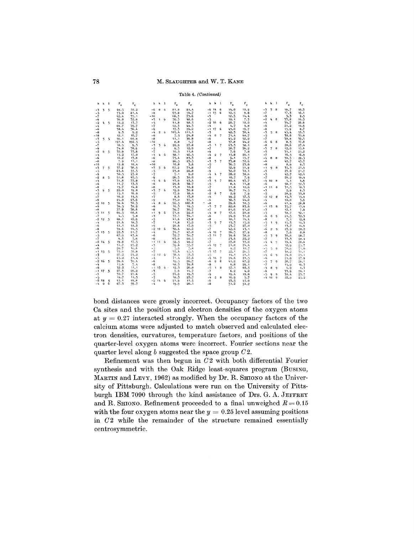#### Table 4. (Continued)

| h             | k                        | -1          | $F_{\alpha}$ | $\mathbf{F}_{\mathbf{c}}$ | 'n           | k         | $\mathbf{1}$ | $F_{\alpha}$ | $\mathbf{F_{c}}$ | h            | k              | - 1                      | $F_{\alpha}$ | $\mathbf{F}_e$  | h.         | k                        | $\mathbf{1}$ | $\mathbf{F_{_0}}$ | $F_e$        |
|---------------|--------------------------|-------------|--------------|---------------------------|--------------|-----------|--------------|--------------|------------------|--------------|----------------|--------------------------|--------------|-----------------|------------|--------------------------|--------------|-------------------|--------------|
| $-3$          | 3                        | 5           | 49.5         | 50.2                      | -6           | $\bf{0}$  | 6            | 81.8         | 81.4             | -6           | 14             | 6                        | 14.0         | 10.9            | -3         | $\overline{\mathbf{3}}$  | -8           | 19.7              | 18.3         |
| $-5$          |                          |             | 75.0         | 81.4                      | $-8$         |           |              | 63.8         | 54.7             | - 1          | 15             | 6                        | 12.5         | 9.8             | -7         |                          |              | 17.3              | 16.1         |
| $-7$          |                          |             | 42.4         | 35.1                      | $-10$        |           |              | 68.3         | 73.6             | -3           |                |                          | 12.5         | 14.4            | -9         |                          |              | 5.3               | 2.5          |
| -9            |                          |             | 36.0         | 32.9                      | $-3$         |           | 16           | 50.3         | 48.6             | -5           |                |                          | 10.1         | 7.3             | -2         | 48                       |              | 33.8              | 14.5         |
| $-2$          | 4                        | 5           | 12.2         | 13.7                      | $-5$         |           |              | 41.8         | 48.5             | $-2 \t16$    |                | 6                        | 20.7         | 10.0            | -4         |                          |              | 34.7              | 26.9         |
| $-4$          |                          |             | 69.7         | 70.7                      | $-7$         |           |              | 42.3         | 49.3             | $-4$         |                |                          | 4.7          | 9.8             | -6         |                          |              | 21.2              | 14.9         |
| -6            |                          |             | 30.4         | 36.4                      | $-9$         |           |              | 17.3         | 29.2             | - 1          | 17             | 6                        | 43.0         | 19.7            | -8         |                          |              | 15.9              | 8.7          |
| $-8$          |                          |             | 9.3          | 9.2                       | $-4$         |           | $2\quad 6$   | 105.4        | 111.1            | $-3$         |                |                          | 42.3         | 38.4            | -3         | 5                        | 8            | 45.4              | 55.3         |
| $-10$         |                          |             | 12.1         | 10,7                      | -6           |           |              | 7.5          | 24.8             | -4           | 0              | 7                        | 71.4         | 68.7            | $-5$       |                          |              | 30.6              | 35.6         |
| $-3$          | 5                        | 5           | 56.1         | 60.9                      | $-8$         |           |              | 41,1         | 36.8             | -- 6         |                |                          | 45.2         | 52.0            | -7         |                          |              | 30.8              | 32.5         |
| $-5$          |                          |             | 197.4        | 192.5                     | $-10$        |           |              | 8.0          | 5.7              | -8           |                |                          | 37.8         | 44.2            | -6         | 6                        | -8           | 8.5               | 17.0         |
| $-7$          |                          |             | 10.5         | 9.3                       | $-3$         | 3 6       |              | 20.9         | 27.8             | -5           |                | $1 \quad 7$              | 63.3         | 58.1            | -8         |                          |              | 20.6              | 27.4         |
| $-9$          |                          |             | 74.8         | 70.9                      | $-5$         |           |              | 9.3          | 12.9             | $-7$         |                |                          | 50.7         | 56.2            | -3         | 7                        | 8            | 12.0              | 15.6         |
| $-2$          | 6                        | $\sim$      | 32.9         | 33.6                      | $-7$         |           |              | 10.5         | 11.6             | -9           |                |                          | 7.9          | 7.8             | -5         |                          |              | 31.1              | 25.2         |
| $-4$<br>$-6$  |                          |             | 15.2         | 17.0                      | $-4$         |           | 46           | 48.1         | 46.5             | $-4$         | 2              | $\overline{7}$           | 15.8         | 26.1            | -7         |                          |              | 16, 5             | 16.9         |
|               |                          |             | 10.2         | 13.8                      | $-6$         |           |              | 75.4         | 83.3             | -8           |                |                          | 9.1          | 15.7            | -4<br>-6   | 8 8                      |              | 30.5              | 29.5         |
| $-8$<br>$-10$ |                          |             | 7.9<br>12.8  | 11.1<br>10.4              | $-8$<br>-10  |           |              | 26.5<br>10.8 | 23.5             | $-3$<br>$-5$ | 3              | $\overline{7}$           | 73.8<br>36.5 | $-72.6$<br>23.6 | -8         |                          |              | 42.7              | 43.7         |
|               |                          |             |              |                           |              |           |              |              | 3.6              |              |                |                          |              |                 |            |                          | -8           | 8,6               | 9.3          |
| $-3$<br>$-5$  | $\overline{\phantom{a}}$ | 5           | 37.2<br>63.6 | 38.5<br>55.5              | $-5$<br>$-5$ | 56        |              | 67.2<br>23.0 | 71.8<br>22.8     | -7<br>-9     |                |                          | 52.9<br>32.0 | 51.9<br>32.1    | - 1<br>-3  | 9                        |              | 35.3<br>23.0      | 21.4<br>21.7 |
| $-9$          |                          |             | 30.5         | 25.0                      | $-7$         |           |              | 7.1          | 9.2              | $-4$         | 4              | $\overline{7}$           | 28.2         | 38.6            | $-5$       |                          |              | 42.7              | 42.4         |
| $-2$          | 8                        | 5           | 51.8         | 45.5                      | $-9$         |           |              | 26.3         | 30.0             | -6           |                |                          | 10.7         | 7.9             | -7         |                          |              | 26.2              | 19.4         |
| $-4$          |                          |             | 31.8         | 33.0                      | $-4$         | 6         | - 6          | 43.9         | 43.4             | $-3$         | 5              | 7                        | 80.4         | 93.7            | -4         | $10^{-1}$                | -8           | 5.1               | 4.9          |
| -6            |                          |             | 11.7         | 13.3                      | -6           |           |              | 29.6         | 38.7             | -5           |                |                          | 8,4          | 11.8            | -6         |                          |              | 58.7              | 52.3         |
| $-8$          |                          |             | 15.7         | 14.0                      | $-8$         |           |              | 13.0         | 10.8             | $-7$         |                |                          | 21.6         | 12.6            | $-1$       | 11                       | -8           | 31.5              | 10.3         |
| -3            | Q                        | 5           | 22.0         | 19.0                      | $-3$         | 7         | -6           | 12.9         | 30.8             | -9           |                |                          | 16.7         | 14.5            | -3         |                          |              | 2.9               | 6.3          |
| $-5$          |                          |             | 15.1         | 16.0                      | $-5$         |           |              | 17.9         | 18.4             | $-2$         | 6              | $\overline{7}$           | 2.9          | 7.9             | $-5$       |                          |              | 28.9              | 33.0         |
| $-7$          |                          |             | 10.0         | 14.5                      | $-7$         |           |              | 8.6          | 13.0             | $-4$         |                |                          | 49.2         | 57.5            |            | $-2$ 12 8                |              | 15.3              | 15.9         |
| -9            |                          |             | 24.0         | 23.9                      | $-9$         |           |              | 33.2         | 35.5             | -- 6         |                |                          | 38.3         | 44.8            | -4         |                          |              | 10.8              | 3.9          |
| $-2$          | 10                       | 5           | 36.6         | 30.3                      | $-4$         | 8         | -6           | 96.5         | 102.8            | $-8$         |                |                          | 29.6         | 30.5            | -6         |                          |              | 41.4              | 28.8         |
| -6            |                          |             | 36.5         | 38.9                      | -6           |           |              | 16.3         | 19.5             | $-5$         | $\overline{7}$ | $\overline{7}$           | 82.6         | 85.6            | - 1        | $13 \quad 8$             |              | 35.7              | 13.4         |
| $-8$          |                          |             | 37.9         | 38.6                      | $-8$         |           |              | 39.7         | 36.7             | $-7$         |                |                          | 81.6         | 91.0            | -3         |                          |              | 12.1              | 7.8          |
| $-5$          | 11                       | -5          | 66.5         | 68.6                      | -1           | 9.        | -6           | 21.9         | 22.0             | -4           | 8              | 7                        | 17.6         | 20,8            | $-5$       |                          |              | 58.7              | 32.1         |
| $-7$          |                          |             | 4.5          | 5.8                       | $-3$         |           |              | 37.1         | 34.1             | $-6$         |                |                          | 24.9         | 31.0            | -6         | $\mathbf{0}$             | -9           | 21.5              | 32.3         |
| $-2$ 12       |                          | $\tilde{2}$ | 48.1         | 42.9                      | $-5$         |           |              | 41.6         | 43.8             | $-8$         |                |                          | 18.1         | 14.4            | $-8$       |                          |              | 7.1               | 12.8         |
| $-4$          |                          |             | 21.6         | 18.3                      | $-7$         |           |              | 11.8         | 15.9             | $-3$         | 9              | $\overline{\phantom{a}}$ | 13.3         | 15.0            | -5         | $\mathbf{1}$             | 9            | 15.3              | 14.3         |
| -6            |                          |             | 41.1         | 44.2                      | $-9$         |           |              | 20.6         | 17.9             | $-5$         |                |                          | 23.7         | 27.0            | -7         |                          |              | 13.7              | 14.9         |
| $-8$          |                          |             | 39.6         | 44.5                      |              | $-2$ 10   | -6           | 38.4         | 40.2             | -7           |                |                          | 42.6         | 43.3            | -6         | 2                        | 9            | 23.9              | 20.2         |
| $-313$        |                          | 5           | 22.3         | 21.7                      | $-4$         |           |              | 54.7         | 47.0             | $-4$         | 10             | 7                        | 26.3         | 27.9            | $-8$       |                          |              | 7.6               | 8.8          |
| $-5$          |                          |             | 67.9         | 63.6                      | -6           |           |              | 32.7         | 38.7             | $-3$         | 11             | $\overline{7}$           | 39.6         | 38.0            | -5         | 3.                       | 9            | 36.6              | 28.7         |
| $-7$          |                          |             | 9.3          | 5.9                       | -8           |           |              | 63.0         | 60.5             | -5           |                |                          | 23.6         | 22.2            | $-7$       |                          |              | 33.3              | 28.4         |
| $-214$        |                          | 5           | 19.8         | 17.5                      |              | $-1$ 11 6 |              | 52.5         | 49.2             | $-7$         |                |                          | 27.8         | 33.0            | $-4$       | 4                        | $\eta$       | 19.4              | 28.6         |
| $-4$          |                          |             | 51.7         | 25.2                      | $-5$         |           |              | 59.6         | 55.7             | $-4$ 12      |                | 7                        | 21.8         | 24.4            | -6         |                          |              | 52.9              | 25.7         |
| -6            |                          |             | 20.7         | 10,6                      | -5           |           |              | $5 - 9$      | 5.8              | $-6$         |                |                          | 9.2          | 10.7            | - - 5      | 5                        | -9           | 78.6              | 75.6         |
| - 1           | 15                       | 5           | 33.6         | 50.8                      | $-7$         |           |              | 45.4         | 45.4             | $-5$ 13      |                | 7                        | 22.1         | 26.5            | $-7$       |                          |              | 38.2              | 51.1         |
| $-3$          |                          |             | 27.2         | 24.2                      |              | $-2$ 12   | $-6$         | 58.4         | 53.3             | $-5$         |                |                          | 14.1         | 21.1            | -4         | 6                        | 9            | 24.0              | 25.1         |
| $-5$          |                          |             | 65.2         | 51.4                      | $-4$         |           |              | 71.4         | 67.6             | $-4, 14$     |                | 7                        | 24.6         | 21,5            | -6         |                          |              | 21.9              | 27.9         |
| $-2$          | 16                       | 5           | 29.6         | 30.4                      | -6           |           |              | 19.5         | 26.7             | -6           | 0              | 8                        | 41.2         | 67.2            | -5         | $\overline{\phantom{a}}$ | -0           | 28.7              | 26.1         |
| $-4$<br>-6    |                          |             | 15.6<br>32.2 | 7.4<br>11.1               | $-8$<br>$-1$ | 13        | 6.           | 48.3<br>12.3 | 39.6<br>26.0     | $-8$         | $\mathbf{1}$   | 8                        | 6.8          | 29.1            | $-7$<br>-4 |                          |              | 14.9              | 16, 3        |
| - 1           |                          | 5           | 27.3         | 20.2                      | $-3$         |           |              |              |                  | -5           |                |                          | 57.1         | 60.3            | -6         | 8                        | 9            | 6.9               | 6,3          |
| -3            | 17                       |             | 30.7         | 27.6                      | $-5$         |           |              | 7.9<br>24.9  | 14.7<br>19.3     | $-7$<br>$-9$ |                |                          | 6.2<br>19.4  | 4.0<br>19.8     | -5         |                          | 9            | 33.9<br>30.4      | 26.1         |
| -5            |                          |             | 16.7         | 11.3                      | $-7$         |           |              | 18.3         | 23.7             | -4           | $\overline{2}$ | а                        | 16.9         | 5.7             | -4         | 9<br>10                  | 9            | 22.9              | 23.7<br>25.2 |
| $-2$          | 18                       | 5           | 45.1         | 44.8                      |              | $-2$ 14 6 |              | 21.9         | 11.5             | -6           |                |                          | 53.5         | 45.0            |            |                          |              |                   |              |
| $-4$          | $\theta$                 | 6           | 67.3         | 59.7                      | $-4$         |           |              | 19.9         | 20.1             | -8           |                |                          | 51.2         | 51.2            |            |                          |              |                   |              |
|               |                          |             |              |                           |              |           |              |              |                  |              |                |                          |              |                 |            |                          |              |                   |              |

bond distances were grossly incorrect. Occupancy factors of the two Ca sites and the position and electron densities of the oxygen atoms at  $y = 0.27$  interacted strongly. When the occupancy factors of the calcium atoms were adjusted to match observed and calculated electron densities, curvatures, temperature factors, and positions of the quarter-level oxygen atoms were incorrect. Fourier sections near the quarter level along  $b$  suggested the space group  $C_2$ .

Refinement was then begun in  $C2$  with both differential Fourier synthesis and with the Oak Ridge least-squares program (BUSING, MARTIN and LEVY, 1962) as modified by Dr. R. SHIONO at the University of Pittsburgh. Calculations were run on the University of Pittsburgh IBM 7090 through the kind assistance of Drs. G. A. JEFFREY and R. SHIONO. Refinement proceeded to a final unweighed  $R = 0.15$ with the four oxygen atoms near the  $y = 0.25$  level assuming positions in  $C2$  while the remainder of the structure remained essentially centrosymmetric.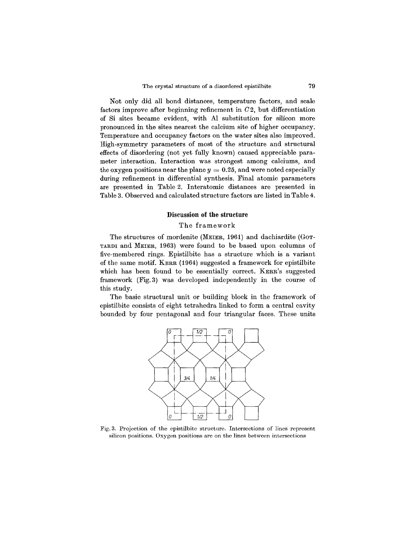Not only did all bond distances, temperature factors, and scale factors improve after beginning refinement in *02,* but differentiation of Si sites became evident, with Al substitution for silicon more pronounced in the sites nearest the calcium site of higher occupancy. Temperature and occupancy factors on the water sites also improved. High-symmetry parameters of most of the structure and structural effects of disordering (not yet fully known) caused appreciable parameter interaction. Interaction was strongest among calciums, and the oxygen positions near the plane  $y = 0.25$ , and were noted especiall during refinement in differential synthesis. Final atomic parameters are presented in Table 2. Interatomic distances are presented in Table 3. Observed and calculated structure factors are listed in Table 4.

# **Discussion of the structure**

# The framework

The structures of mordenite (MEIER, 1961) and dachiardite (GOT-TARDIand MEIER, 1963) were found to be based upon columns of five-membered rings. Epistilbite has a structure which is a variant of the same motif. KERR (1964) suggested a framework for epistilbite which has been found to be essentially correct. KERR's suggested framework (Fig.3) was developed independently in the course of this study.

The basic structural unit or building block in the framework of epistilbite consists of eight tetrahedra linked to form a central cavity bounded by four pentagonal and four triangular faces. These units



Fig. 3. Projection of the epistilbite structure. Intersections of lines represent silicon positions. Oxygen positions are on the lines between intersections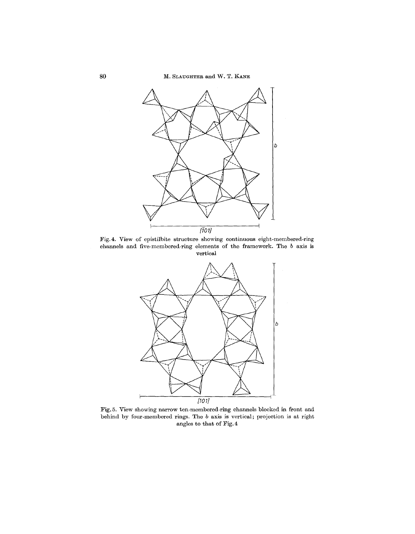80 M. SLAUGHTER and W. T. KANE



Fig. 4. View of epistilbite structure showing continuous eight-membered-ring channels and five-membered-ring elements of the framework. The *b* axis is vertical



Fig.5. View showing narrow ten-membered-ring channels blocked in front and behind by four-membered rings. The *b* axis is vertical; projection is at right angles to that of Fig. 4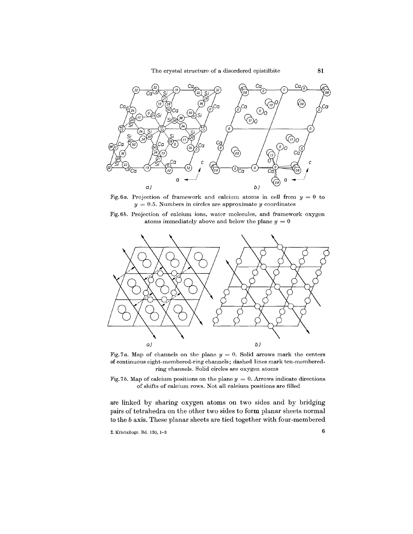The crystal structure of a disordered epistilbite **81**



Fig.6a. Projection of framework and calcium atoms in cell from  $y = 0$  to  $y = 0.5$ . Numbers in circles are approximate *y* coordinates

Fig. 6*b.* Projection of calcium ions, water molecules, and framework oxygen atoms immediately above and below the plane  $y = 0$ 



Fig. 7*a*. Map of channels on the plane  $y = 0$ . Solid arrows mark the centers of continuous eight-membered-ring channels; dashed lines mark ten-memberedring channels. Solid circles are oxygen atoms

Fig. 7*b*. Map of calcium positions on the plane  $y = 0$ . Arrows indicate directions of shifts of calcium rows. Not all calcium positions are filled

are linked by sharing oxygen atoms on two sides and by bridging pairs of tetrahedra on the other two sides to form planar sheets normal to the *b* axis. These planar sheets are tied together with four-membered

Z. Kristallogr. Bd. 130, 1-3 6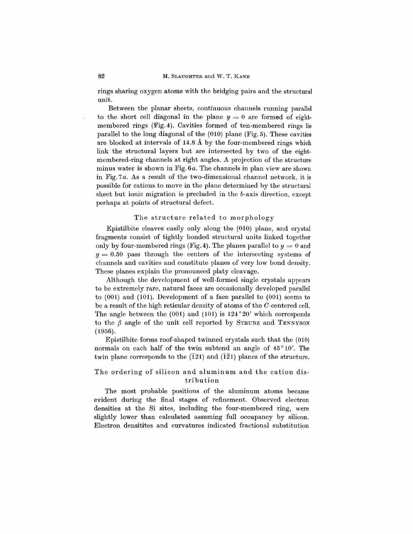rings sharing oxygen atoms with the bridging pairs and the structural unit.

Between the planar sheets, continuous channels running parallel to the short cell diagonal in the plane  $y = 0$  are formed of eightmembered rings (Fig. 4). Cavities formed of ten-membered rings lie parallel to the long diagonal of the (010) plane (Fig. 5). These cavities are blocked at intervals of 14.8 A by the four-membered rings which link the structural layers but are intersected by two of the eightmembered-ring channels at right angles. A projection of the structure minus water is shown in Fig. *6a.* The channels in plan view are shown in Fig. 7 *a.* As a result of the two-dimensional channel network, it is possible for cations to move in the plane determined by the structural sheet but ionic migration is precluded in the b-axis direction, except perhaps at points of structural defect.

#### The structure related to morphology

Epistilbite cleaves easily only along the (010) plane, and crystal fragments consist of tightly bonded structural units linked together only by four-membered rings (Fig. 4). The planes parallel to  $y = 0$  and  $y = 0.50$  pass through the centers of the intersecting systems of channels and cavities and constitute planes of very low bond density. These planes explain the pronounced platy cleavage.

Although the development of well-formed single crystals appears to be extremely rare, natural faces are occasionally developed parallel to (001) and (101). Development of a face parallel to (001) seems to be a result of the high reticular density of atoms of the O-centered cell. The angle between the (001) and (101) is  $124^{\circ}20'$  which corresponds to the  $\beta$  angle of the unit cell reported by STRUNZ and TENNYSON (1956).

Epistilbite forms roof-shaped twinned crystals such that the (010) normals on each half of the twin subtend an angle of  $45^{\circ}10'$ . The twin plane corresponds to the  $(\overline{1}21)$  and  $(\overline{1}21)$  planes of the structure.

# The ordering of silicon and aluminum and the cation distribution

The most probable positions of the aluminum atoms became evident during the final stages of refinement. Observed electron densities at the Si sites, including the four-membered ring, were slightly lower than calculated assuming full occupancy by silicon. Electron densitites and curvatures indicated fractional substitution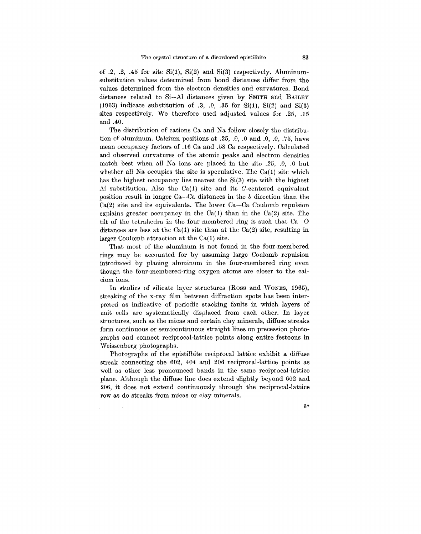of .2, .2, .45 for site  $Si(1)$ ,  $Si(2)$  and  $Si(3)$  respectively. Aluminumsubstitution values determined from bond distances differ from the values determined from the electron densities and curvatures. Bond distances related to Si-AI distances given by SMITH and BAILEY (1963) indicate substitution of  $.3, .0, .35$  for Si(1), Si(2) and Si(3) sites respectively. We therefore used adjusted values for .25, .15 and .40.

The distribution of cations Ca and Na follow closely the distribution of aluminum. Calcium positions at .25, .0, .0 and .0, .0, .75, have mean occupancy factors of .16 Ca and .58 Ca respectively. Calculated and observed curvatures of the atomic peaks and electron densities match best when all Na ions are placed in the site .25, .0, .0 but whether all Na occupies the site is speculative. The  $Ca(1)$  site which has the highest occupancy lies nearest the Si(3) site with the highest Al substitution. Also the  $Ca(1)$  site and its C-centered equivalent position result in longer Ca-Ca distances in the b direction than the Ca(2) site and its equivalents. The lower Ca-Ca Coulomb repulsion explains greater occupancy in the  $Ca(1)$  than in the  $Ca(2)$  site. The tilt of the tetrahedra in the four-membered ring is such that Ca-O distances are less at the  $Ca(1)$  site than at the  $Ca(2)$  site, resulting in larger Coulomb attraction at the Ca(l) site.

That most of the aluminum is not found in the four-membered rings may be accounted for by assuming large Coulomb repulsion introduced by placing aluminum in the four-membered ring even though the four-membered-ring oxygen atoms are closer to the calcium ions.

In studies of silicate layer structures (Ross and WONES, 1965), streaking of the x-ray film between diffraction spots has been interpreted as indicative of periodic stacking faults in which layers of unit cells are systematically displaced from each other. In layer structures, such as the micas and certain clay minerals, diffuse streaks form continuous or semicontinuous straight lines on precession photographs and connect reciprocal-lattice points along entire festoons in Weissenberg photographs.

Photographs of the epistilbite reciprocal lattice exhibit a diffuse streak connecting the 602, 404 and 206 reciprocal-lattice points as well as other less pronounced bands in the same reciprocal-lattice plane. Although the diffuse line does extend slightly beyond 602 and 206, it does not extend continuously through the reciprocal-lattice row as do streaks from micas or clay minerals.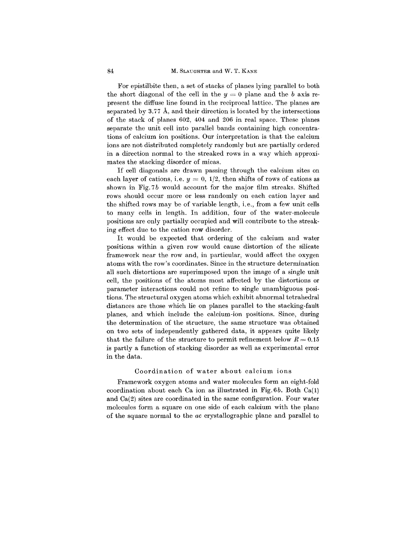For epistilbite then, a set of stacks of planes lying parallel to both the short diagonal of the cell in the  $y = 0$  plane and the *b* axis represent the diffuse line found in the reciprocal lattice. The planes are separated by 3.77 A, and their direction is located by the intersections of the stack of planes 602, 404 and 206 in real space. These planes separate the unit cell into parallel bands containing high concentrations of calcium ion positions. Our interpretation is that the calcium ions are not distributed completely randomly but are partially ordered in a direction normal to the streaked rows in a way which approximates the stacking disorder of micas.

If cell diagonals are drawn passing through the calcium sites on each layer of cations, i.e.  $y = 0$ ,  $1/2$ , then shifts of rows of cations as shown in Fig. 7b would account for the major film streaks. Shifted rows should occur more or less randomly on each cation layer and the shifted rows may be of variable length, i. e., from a few unit cells to many cells in length. In addition, four of the water-molecule positions are only partially occupied and will contribute to the streaking effect due to the cation row disorder.

It would be expected that ordering of the calcium and water positions within a given row would cause distortion of the silicate framework near the rowand, in particular, would affect the oxygen atoms with the row's coordinates. Since in the structure determination all such distortions are superimposed upon the image of a single unit cell, the positions of the atoms most affected by the distortions or parameter interactions could not refine to single unambiguous positions. The structural oxygen atoms which exhibit abnormal tetrahedral distances are those which lie on planes parallel to the stacking-fault planes, and which include the calcium-ion positions. Since, during the determination of the structure, the same structure was obtained on two sets of independently gathered data, it appears quite likely that the failure of the structure to permit refinement below  $R = 0.15$ is partly a function of stacking disorder as well as experimental error in the data.

## Coordination of water about calcium ions

Framework oxygen atoms and water molecules form an eight-fold coordination about each Ca ion as illustrated in Fig.6b. Both Ca(l) and Ca(2) sites are coordinated in the same configuration. Four water molecules form a square on one side of each calcium with the plane of the square normal to the *ac* crystallographic plane and parallel to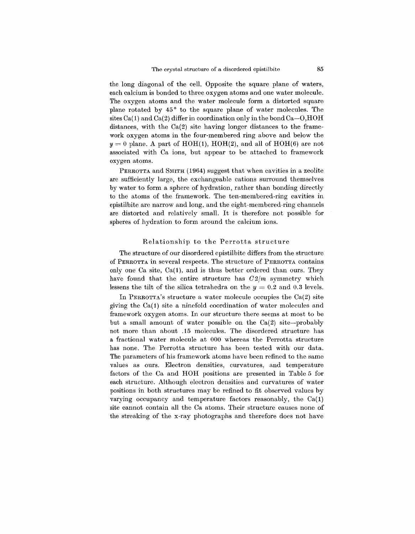the long diagonal of the cell. Opposite the square plane of waters, each calcium is bonded to three oxygen atoms and one water molecule. The oxygen atoms and the water molecule form a distorted square plane rotated by  $45^{\circ}$  to the square plane of water molecules. The sites Ca(1) and Ca(2) differ in coordination only in the bond Ca $-0,$ HOH distances, with the Ca(2) site having longer distances to the framework oxygen atoms in the four-membered ring above and below the  $y = 0$  plane. A part of HOH(1), HOH(2), and all of HOH(6) are not associated with Ca ions, but appear to be attached to framework oxygen atoms.

PERROTTA and SMITH (1964) suggest that when cavities in a zeolite are sufficiently large, the exchangeable cations surround themselves by water to form a sphere of hydration, rather than bonding directly to the atoms of the framework. The ten-membered-ring cavities in epistilbite are narrow and long, and the eight-membered-ring channels are distorted and relatively small. It is therefore not possible for spheres of hydration to form around the calcium ions.

#### Relationship to the Perrotta structure

The structure of our disordered epistilbite differs from the structure of PERROTTAin several respects. The structure of PERROTTA contains only one Ca site,  $Ca(1)$ , and is thus better ordered than ours. They have found that the entire structure has *02/m* symmetry which lessens the tilt of the silica tetrahedra on the  $y = 0.2$  and 0.3 levels.

In PERROTTA's structure a water molecule occupies the  $Ca(2)$  site giving the Ca(l) site a ninefold coordination of water molecules and framework oxygen atoms. In our structure there seems at most to be but a small amount of water possible on the  $Ca(2)$  site--probably not more than about .15 molecules. The disordered structure has a fractional water molecule at 000 whereas the Perrotta structure has none. The Perrotta structure has been tested with our data. The parameters of his framework atoms have been refined to the same values as ours. Electron densities, curvatures, and temperature factors of the Ca and **HOH** positions are presented in Table 5 for each structure. Although electron densities and curvatures of water positions in both structures may be refined to fit observed values by varying occupancy and temperature factors reasonably, the Ca(1) site cannot contain all the Ca atoms. Their structure causes none of the streaking of the x-ray photographs and therefore does not have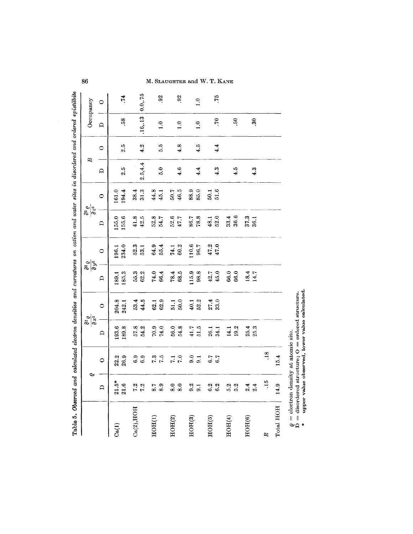| Table 5. Observed and calculated electron densities and curvatures on cation and water sites in disordered and ordered epistilistic |                         |                        |                                           |                |                                           |                |                                           |                |                                       |         |               |               |
|-------------------------------------------------------------------------------------------------------------------------------------|-------------------------|------------------------|-------------------------------------------|----------------|-------------------------------------------|----------------|-------------------------------------------|----------------|---------------------------------------|---------|---------------|---------------|
|                                                                                                                                     | Ó                       |                        | $\frac{\partial^2 \varrho}{\partial x^2}$ |                | $\frac{\partial^2 \varrho}{\partial y^2}$ |                | $\frac{\partial^2 \varrho}{\partial z^2}$ |                | B                                     |         | Occupancy     |               |
|                                                                                                                                     | $\bigcap$               | $\circ$                | $\mathbf{a}$                              | $\bullet$      | $\mathbf{D}$                              | $\circ$        | $\mathbf{a}$                              | $\bullet$      | $\begin{array}{c}\n\Box\n\end{array}$ | $\circ$ | $\mathbf{D}$  | $\circ$       |
| $\mathrm{Ca}(\mathbf{1})$                                                                                                           | $\frac{21.5*}{21.6}$    | 22.2<br>26.9           | 193.6<br>189.8                            | 204.8<br>242.1 | 185.3<br>189.1                            | 234.0<br>196.1 | 155.0<br>155.6                            | 194.4<br>161.0 | 2.5                                   | 2.5     | 58            | .74           |
| Ca(2), HOH                                                                                                                          | 7.2<br>7.2              | 6.9<br>6.9             | 57.8<br>54.2                              | 53.4<br>44.5   | 55.3<br>62.2                              | 52.3<br>53.1   | 41.8<br>$42.5$                            | 38.4<br>31.3   | 2.5, 4.4                              | 4.2     | .16, .13      | 0.0, 75       |
| HOH(1)                                                                                                                              | 8.9<br>8.7              | 7.5<br>7.3             | 70.9<br>74.0                              | 62.9<br>62.1   | 66.4<br>74.0                              | 64.9<br>55.4   | 52.8<br>54.7                              | 44.8<br>45.1   | 5.0                                   | 5.6     | $\ddot{ }$ .  | 92            |
| HOH(2)                                                                                                                              | $\overline{8.0}$<br>8.0 | 7.0<br>$\overline{11}$ | 56.0<br>54.8                              | 50.0<br>51.1   | 78.4<br>68.5                              | 60.2<br>74.1   | 52.6<br>47.7                              | 46.5<br>50.7   | 4.6                                   | 4.8     | $\ddot{ }$ .  | 92            |
| HOH(3)                                                                                                                              | 9.2<br>9.1              | 9.0<br>9.1             | 51.5<br>41.7                              | 52.2<br>40.1   | 115.9<br>98.8                             | 110.6<br>96.7  | 78.8<br>86.7                              | 88.9<br>85.0   | 4.4                                   | 4.5     | $\ddot{0}$    | $\ddot{1}$ .0 |
| HOH(5)                                                                                                                              | 6.2<br>6.2              | 6.7<br>6.7             | 26.1<br>34.1                              | 27.4<br>33.0   | 42.7<br>45.0                              | 47.2<br>47.0   | 52.0<br>48.1                              | 51.6<br>50.1   | 4.3                                   | 4.4     | $\mathcal{L}$ | .75           |
| HOH(4)                                                                                                                              | 5.2<br>5.2              |                        | 19.2<br>14.1                              |                | 66.0<br>66.0                              |                | 36.6<br>33.4                              |                | 4.5                                   |         | 50            |               |
| HOH(6)                                                                                                                              | 2.4<br>2.4              |                        | 25.4<br>25.3                              |                | 18.4<br>14.7                              |                | 37.3<br>36.1                              |                | 4.3                                   |         | 30            |               |
| R                                                                                                                                   | $\ddot{15}$             | .18                    |                                           |                |                                           |                |                                           |                |                                       |         |               |               |
| Total HOH                                                                                                                           | 14.9                    | 15.4                   |                                           |                |                                           |                |                                           |                |                                       |         |               |               |

86

M. SLAUGHTER and W. T. KANE

 $\varrho=\text{electron density}$  at atomic site. <br> D = disordered structure; O = ordered structure. <br> \* upper value observed, lower value calculated.